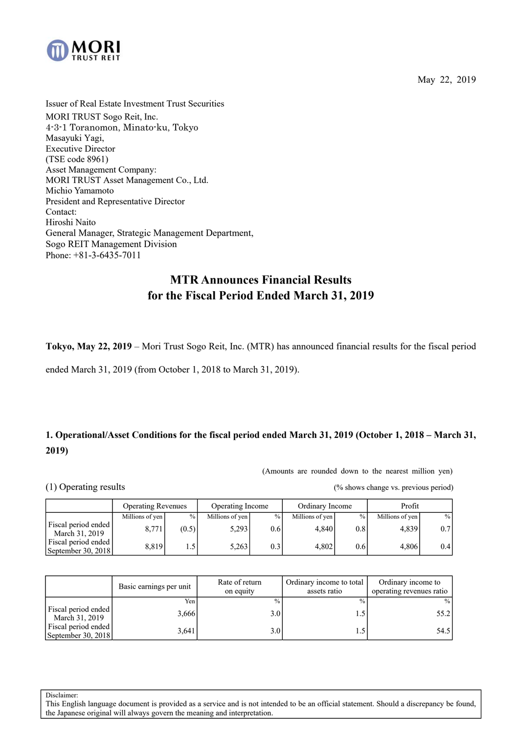

May 22, 2019

Issuer of Real Estate Investment Trust Securities MORI TRUST Sogo Reit, Inc. 4-3-1 Toranomon, Minato-ku, Tokyo Masayuki Yagi, Executive Director (TSE code 8961) Asset Management Company: MORI TRUST Asset Management Co., Ltd. Michio Yamamoto President and Representative Director Contact: Hiroshi Naito General Manager, Strategic Management Department, Sogo REIT Management Division Phone: +81-3-6435-7011

# **MTR Announces Financial Results for the Fiscal Period Ended March 31, 2019**

**Tokyo, May 22, 2019** – Mori Trust Sogo Reit, Inc. (MTR) has announced financial results for the fiscal period

ended March 31, 2019 (from October 1, 2018 to March 31, 2019).

# **1. Operational/Asset Conditions for the fiscal period ended March 31, 2019 (October 1, 2018 – March 31, 2019)**

(Amounts are rounded down to the nearest million yen)

(1) Operating results (% shows change vs. previous period)

|                                           | <b>Operating Revenues</b> |               | Operating Income |               | Ordinary Income |                  | Profit          |               |
|-------------------------------------------|---------------------------|---------------|------------------|---------------|-----------------|------------------|-----------------|---------------|
|                                           | Millions of yen           | $\frac{0}{0}$ | Millions of yen  | $\frac{0}{0}$ | Millions of yen | $\%$             | Millions of yen | $\frac{0}{0}$ |
| Fiscal period ended<br>March 31, 2019     | 8.771                     | (0.5)         | 5,293            | 0.6           | 4.840           | 0.8 <sup>1</sup> | 4,839           | 0.71          |
| Fiscal period ended<br>September 30, 2018 | 8.819                     |               | 5,263            | 0.3           | 4.802           | 0.6 <sub>l</sub> | 4.806           | 0.4           |

|                                           | Basic earnings per unit | Rate of return<br>on equity | Ordinary income to total<br>assets ratio | Ordinary income to<br>operating revenues ratio |
|-------------------------------------------|-------------------------|-----------------------------|------------------------------------------|------------------------------------------------|
|                                           | Yen <sub>1</sub>        | $\frac{0}{0}$               | $\frac{0}{0}$                            | $\frac{0}{0}$                                  |
| Fiscal period ended<br>March 31, 2019     | 3,666                   | 3.0                         |                                          | 55.2                                           |
| Fiscal period ended<br>September 30, 2018 | 3,641                   | 3.0                         |                                          | 54.5                                           |

Disclaimer: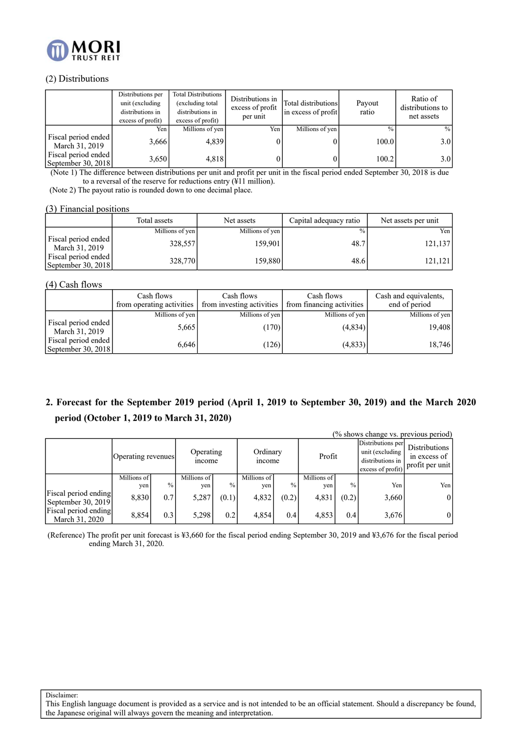

### (2) Distributions

|                                           | Distributions per<br>unit (excluding<br>distributions in<br>excess of profit) | Total Distributions<br>(excluding total<br>distributions in<br>excess of profit) | Distributions in<br>excess of profit<br>per unit | Total distributions<br>in excess of profit | Payout<br>ratio | Ratio of<br>distributions to<br>net assets |
|-------------------------------------------|-------------------------------------------------------------------------------|----------------------------------------------------------------------------------|--------------------------------------------------|--------------------------------------------|-----------------|--------------------------------------------|
|                                           | Yen                                                                           | Millions of yen                                                                  | Yen                                              | Millions of yen                            | $\frac{0}{0}$   | $\frac{0}{0}$                              |
| Fiscal period ended<br>March 31, 2019     | 3,666                                                                         | 4,839                                                                            |                                                  |                                            | 100.0           | 3.0                                        |
| Fiscal period ended<br>September 30, 2018 | 3,650                                                                         | 4,818                                                                            |                                                  |                                            | 100.2           | 3.0                                        |

(Note 1) The difference between distributions per unit and profit per unit in the fiscal period ended September 30, 2018 is due to a reversal of the reserve for reductions entry (¥11 million).

(Note 2) The payout ratio is rounded down to one decimal place.

### (3) Financial positions

|                                             | Total assets    | Net assets      | Capital adequacy ratio | Net assets per unit |
|---------------------------------------------|-----------------|-----------------|------------------------|---------------------|
|                                             | Millions of yen | Millions of yen | $\%$ .                 | Yen l               |
| Fiscal period ended<br>March 31, 2019       | 328,557         | 159.901         | 48.7                   | 121,137             |
| Fiscal period ended<br>September 30, $2018$ | 328,770         | 159.880         | 48.6                   | 121.121             |

### (4) Cash flows

|                                             | Cash flows<br>from operating activities | Cash flows<br>from investing activities | Cash flows<br>from financing activities | Cash and equivalents,<br>end of period |
|---------------------------------------------|-----------------------------------------|-----------------------------------------|-----------------------------------------|----------------------------------------|
|                                             | Millions of yen                         | Millions of yen                         | Millions of yen                         | Millions of yen                        |
| Fiscal period ended<br>March 31, 2019       | 5,665                                   | (170)                                   | (4,834)                                 | 19,408                                 |
| Fiscal period ended<br>September 30, $2018$ | 6,646                                   | 126                                     | (4,833)                                 | 18,746                                 |

# **2. Forecast for the September 2019 period (April 1, 2019 to September 30, 2019) and the March 2020 period (October 1, 2019 to March 31, 2020)**

|                                        |                    |               |                            |               |                           |               |             |               |                                                                               | (% shows change vs. previous period)                    |
|----------------------------------------|--------------------|---------------|----------------------------|---------------|---------------------------|---------------|-------------|---------------|-------------------------------------------------------------------------------|---------------------------------------------------------|
|                                        | Operating revenues |               | Operating<br><i>n</i> come |               | Ordinary<br><i>n</i> come |               | Profit      |               | Distributions per<br>unit (excluding<br>distributions in<br>excess of profit) | <b>Distributions</b><br>in excess of<br>profit per unit |
|                                        | Millions of        |               | Millions of                |               | Millions of               |               | Millions of | $\frac{0}{0}$ |                                                                               |                                                         |
|                                        | yen                | $\frac{0}{0}$ | ven                        | $\frac{0}{6}$ | ven                       | $\frac{0}{0}$ | ven         |               | Yen                                                                           | Yen                                                     |
| Fiscal period ending                   | 8,830              | 0.7           | 5,287                      | (0.1)         | 4,832                     | (0.2)         | 4,831       | (0.2)         | 3,660                                                                         | $\overline{0}$                                          |
| September 30, 2019                     |                    |               |                            |               |                           |               |             |               |                                                                               |                                                         |
| Fiscal period ending<br>March 31, 2020 | 8,854              | 0.3           | 5,298                      | 0.2           | 4,854                     | 0.4           | 4,853       | 0.4           | 3,676                                                                         | 01                                                      |

(Reference) The profit per unit forecast is ¥3,660 for the fiscal period ending September 30, 2019 and ¥3,676 for the fiscal period ending March 31, 2020.

Disclaimer: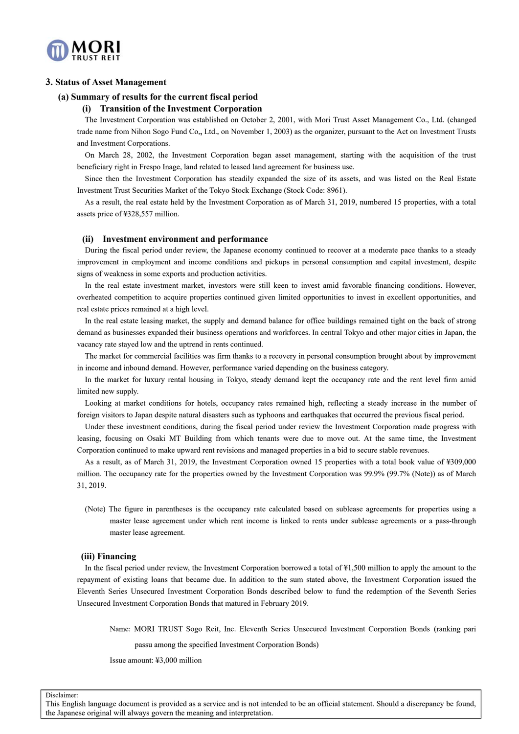

### **3. Status of Asset Management**

#### **(a) Summary of results for the current fiscal period**

### **(i) Transition of the Investment Corporation**

The Investment Corporation was established on October 2, 2001, with Mori Trust Asset Management Co., Ltd. (changed trade name from Nihon Sogo Fund Co**.,** Ltd.**.** on November 1, 2003) as the organizer, pursuant to the Act on Investment Trusts and Investment Corporations.

On March 28, 2002, the Investment Corporation began asset management, starting with the acquisition of the trust beneficiary right in Frespo Inage, land related to leased land agreement for business use.

Since then the Investment Corporation has steadily expanded the size of its assets, and was listed on the Real Estate Investment Trust Securities Market of the Tokyo Stock Exchange (Stock Code: 8961).

As a result, the real estate held by the Investment Corporation as of March 31, 2019, numbered 15 properties, with a total assets price of ¥328,557 million.

#### **(ii) Investment environment and performance**

During the fiscal period under review, the Japanese economy continued to recover at a moderate pace thanks to a steady improvement in employment and income conditions and pickups in personal consumption and capital investment, despite signs of weakness in some exports and production activities.

In the real estate investment market, investors were still keen to invest amid favorable financing conditions. However, overheated competition to acquire properties continued given limited opportunities to invest in excellent opportunities, and real estate prices remained at a high level.

In the real estate leasing market, the supply and demand balance for office buildings remained tight on the back of strong demand as businesses expanded their business operations and workforces. In central Tokyo and other major cities in Japan, the vacancy rate stayed low and the uptrend in rents continued.

The market for commercial facilities was firm thanks to a recovery in personal consumption brought about by improvement in income and inbound demand. However, performance varied depending on the business category.

In the market for luxury rental housing in Tokyo, steady demand kept the occupancy rate and the rent level firm amid limited new supply.

Looking at market conditions for hotels, occupancy rates remained high, reflecting a steady increase in the number of foreign visitors to Japan despite natural disasters such as typhoons and earthquakes that occurred the previous fiscal period.

Under these investment conditions, during the fiscal period under review the Investment Corporation made progress with leasing, focusing on Osaki MT Building from which tenants were due to move out. At the same time, the Investment Corporation continued to make upward rent revisions and managed properties in a bid to secure stable revenues.

As a result, as of March 31, 2019, the Investment Corporation owned 15 properties with a total book value of ¥309,000 million. The occupancy rate for the properties owned by the Investment Corporation was 99.9% (99.7% (Note)) as of March 31, 2019.

(Note) The figure in parentheses is the occupancy rate calculated based on sublease agreements for properties using a master lease agreement under which rent income is linked to rents under sublease agreements or a pass-through master lease agreement.

#### **(iii) Financing**

In the fiscal period under review, the Investment Corporation borrowed a total of ¥1,500 million to apply the amount to the repayment of existing loans that became due. In addition to the sum stated above, the Investment Corporation issued the Eleventh Series Unsecured Investment Corporation Bonds described below to fund the redemption of the Seventh Series Unsecured Investment Corporation Bonds that matured in February 2019.

Name: MORI TRUST Sogo Reit, Inc. Eleventh Series Unsecured Investment Corporation Bonds (ranking pari

passu among the specified Investment Corporation Bonds)

Issue amount: ¥3,000 million

Disclaimer: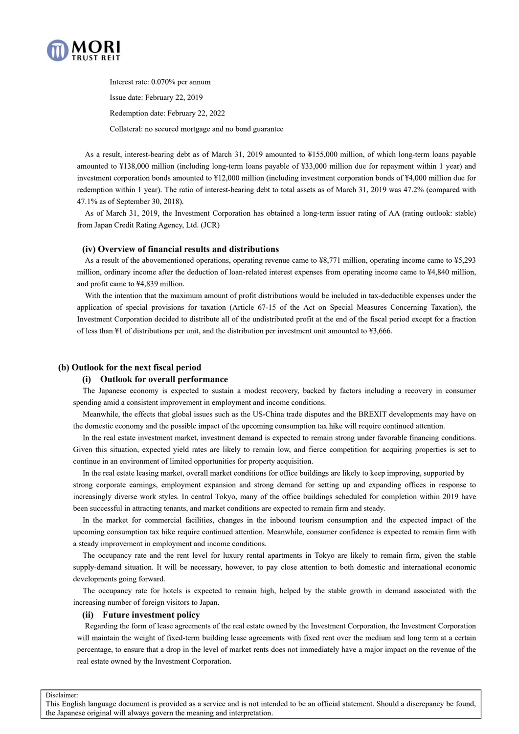

Interest rate: 0.070% per annum Issue date: February 22, 2019 Redemption date: February 22, 2022 Collateral: no secured mortgage and no bond guarantee

As a result, interest-bearing debt as of March 31, 2019 amounted to ¥155,000 million, of which long-term loans payable amounted to ¥138,000 million (including long-term loans payable of ¥33,000 million due for repayment within 1 year) and investment corporation bonds amounted to ¥12,000 million (including investment corporation bonds of ¥4,000 million due for redemption within 1 year). The ratio of interest-bearing debt to total assets as of March 31, 2019 was 47.2% (compared with 47.1% as of September 30, 2018).

As of March 31, 2019, the Investment Corporation has obtained a long-term issuer rating of AA (rating outlook: stable) from Japan Credit Rating Agency, Ltd. (JCR)

#### **(iv) Overview of financial results and distributions**

As a result of the abovementioned operations, operating revenue came to ¥8,771 million, operating income came to ¥5,293 million, ordinary income after the deduction of loan-related interest expenses from operating income came to ¥4,840 million, and profit came to ¥4,839 million.

With the intention that the maximum amount of profit distributions would be included in tax-deductible expenses under the application of special provisions for taxation (Article 67-15 of the Act on Special Measures Concerning Taxation), the Investment Corporation decided to distribute all of the undistributed profit at the end of the fiscal period except for a fraction of less than ¥1 of distributions per unit, and the distribution per investment unit amounted to ¥3,666.

### **(b) Outlook for the next fiscal period**

#### **(i) Outlook for overall performance**

The Japanese economy is expected to sustain a modest recovery, backed by factors including a recovery in consumer spending amid a consistent improvement in employment and income conditions.

Meanwhile, the effects that global issues such as the US-China trade disputes and the BREXIT developments may have on the domestic economy and the possible impact of the upcoming consumption tax hike will require continued attention.

In the real estate investment market, investment demand is expected to remain strong under favorable financing conditions. Given this situation, expected yield rates are likely to remain low, and fierce competition for acquiring properties is set to continue in an environment of limited opportunities for property acquisition.

In the real estate leasing market, overall market conditions for office buildings are likely to keep improving, supported by

strong corporate earnings, employment expansion and strong demand for setting up and expanding offices in response to increasingly diverse work styles. In central Tokyo, many of the office buildings scheduled for completion within 2019 have been successful in attracting tenants, and market conditions are expected to remain firm and steady.

In the market for commercial facilities, changes in the inbound tourism consumption and the expected impact of the upcoming consumption tax hike require continued attention. Meanwhile, consumer confidence is expected to remain firm with a steady improvement in employment and income conditions.

The occupancy rate and the rent level for luxury rental apartments in Tokyo are likely to remain firm, given the stable supply-demand situation. It will be necessary, however, to pay close attention to both domestic and international economic developments going forward.

The occupancy rate for hotels is expected to remain high, helped by the stable growth in demand associated with the increasing number of foreign visitors to Japan.

### **(ii) Future investment policy**

Regarding the form of lease agreements of the real estate owned by the Investment Corporation, the Investment Corporation will maintain the weight of fixed-term building lease agreements with fixed rent over the medium and long term at a certain percentage, to ensure that a drop in the level of market rents does not immediately have a major impact on the revenue of the real estate owned by the Investment Corporation.

Disclaimer: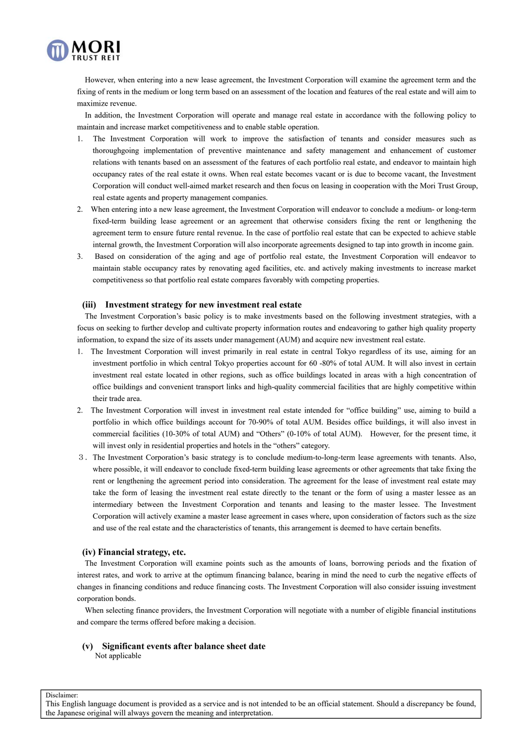

However, when entering into a new lease agreement, the Investment Corporation will examine the agreement term and the fixing of rents in the medium or long term based on an assessment of the location and features of the real estate and will aim to maximize revenue.

In addition, the Investment Corporation will operate and manage real estate in accordance with the following policy to maintain and increase market competitiveness and to enable stable operation.

- 1. The Investment Corporation will work to improve the satisfaction of tenants and consider measures such as thoroughgoing implementation of preventive maintenance and safety management and enhancement of customer relations with tenants based on an assessment of the features of each portfolio real estate, and endeavor to maintain high occupancy rates of the real estate it owns. When real estate becomes vacant or is due to become vacant, the Investment Corporation will conduct well-aimed market research and then focus on leasing in cooperation with the Mori Trust Group, real estate agents and property management companies.
- 2. When entering into a new lease agreement, the Investment Corporation will endeavor to conclude a medium- or long-term fixed-term building lease agreement or an agreement that otherwise considers fixing the rent or lengthening the agreement term to ensure future rental revenue. In the case of portfolio real estate that can be expected to achieve stable internal growth, the Investment Corporation will also incorporate agreements designed to tap into growth in income gain.
- 3. Based on consideration of the aging and age of portfolio real estate, the Investment Corporation will endeavor to maintain stable occupancy rates by renovating aged facilities, etc. and actively making investments to increase market competitiveness so that portfolio real estate compares favorably with competing properties.

#### **(iii) Investment strategy for new investment real estate**

The Investment Corporation's basic policy is to make investments based on the following investment strategies, with a focus on seeking to further develop and cultivate property information routes and endeavoring to gather high quality property information, to expand the size of its assets under management (AUM) and acquire new investment real estate.

- 1. The Investment Corporation will invest primarily in real estate in central Tokyo regardless of its use, aiming for an investment portfolio in which central Tokyo properties account for 60 -80% of total AUM. It will also invest in certain investment real estate located in other regions, such as office buildings located in areas with a high concentration of office buildings and convenient transport links and high-quality commercial facilities that are highly competitive within their trade area.
- 2. The Investment Corporation will invest in investment real estate intended for "office building" use, aiming to build a portfolio in which office buildings account for 70-90% of total AUM. Besides office buildings, it will also invest in commercial facilities (10-30% of total AUM) and "Others" (0-10% of total AUM). However, for the present time, it will invest only in residential properties and hotels in the "others" category.
- 3.The Investment Corporation's basic strategy is to conclude medium-to-long-term lease agreements with tenants. Also, where possible, it will endeavor to conclude fixed-term building lease agreements or other agreements that take fixing the rent or lengthening the agreement period into consideration. The agreement for the lease of investment real estate may take the form of leasing the investment real estate directly to the tenant or the form of using a master lessee as an intermediary between the Investment Corporation and tenants and leasing to the master lessee. The Investment Corporation will actively examine a master lease agreement in cases where, upon consideration of factors such as the size and use of the real estate and the characteristics of tenants, this arrangement is deemed to have certain benefits.

#### **(iv) Financial strategy, etc.**

The Investment Corporation will examine points such as the amounts of loans, borrowing periods and the fixation of interest rates, and work to arrive at the optimum financing balance, bearing in mind the need to curb the negative effects of changes in financing conditions and reduce financing costs. The Investment Corporation will also consider issuing investment corporation bonds.

When selecting finance providers, the Investment Corporation will negotiate with a number of eligible financial institutions and compare the terms offered before making a decision.

**(v) Significant events after balance sheet date**

Not applicable

Disclaimer: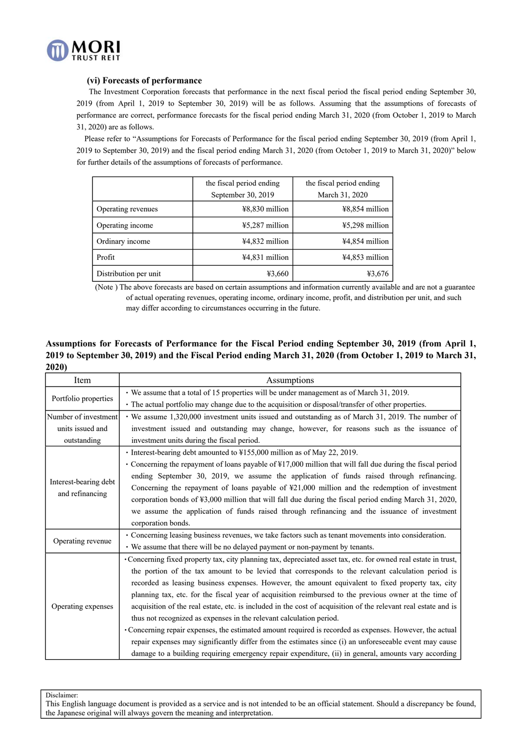

### **(vi) Forecasts of performance**

The Investment Corporation forecasts that performance in the next fiscal period the fiscal period ending September 30, 2019 (from April 1, 2019 to September 30, 2019) will be as follows. Assuming that the assumptions of forecasts of performance are correct, performance forecasts for the fiscal period ending March 31, 2020 (from October 1, 2019 to March 31, 2020) are as follows.

Please refer to "Assumptions for Forecasts of Performance for the fiscal period ending September 30, 2019 (from April 1, 2019 to September 30, 2019) and the fiscal period ending March 31, 2020 (from October 1, 2019 to March 31, 2020)" below for further details of the assumptions of forecasts of performance.

|                       | the fiscal period ending | the fiscal period ending |
|-----------------------|--------------------------|--------------------------|
|                       | September 30, 2019       | March 31, 2020           |
| Operating revenues    | ¥8,830 million           | ¥8,854 million           |
| Operating income      | $45,287$ million         | $45,298$ million         |
| Ordinary income       | ¥4,832 million           | ¥4,854 million           |
| Profit                | ¥4,831 million           | ¥4,853 million           |
| Distribution per unit | ¥3,660                   | ¥3,676                   |

(Note ) The above forecasts are based on certain assumptions and information currently available and are not a guarantee of actual operating revenues, operating income, ordinary income, profit, and distribution per unit, and such may differ according to circumstances occurring in the future.

### **Assumptions for Forecasts of Performance for the Fiscal Period ending September 30, 2019 (from April 1, 2019 to September 30, 2019) and the Fiscal Period ending March 31, 2020 (from October 1, 2019 to March 31, 2020)**

| Item                                     | Assumptions                                                                                                     |
|------------------------------------------|-----------------------------------------------------------------------------------------------------------------|
|                                          | • We assume that a total of 15 properties will be under management as of March 31, 2019.                        |
| Portfolio properties                     | · The actual portfolio may change due to the acquisition or disposal/transfer of other properties.              |
| Number of investment                     | · We assume 1,320,000 investment units issued and outstanding as of March 31, 2019. The number of               |
| units issued and                         | investment issued and outstanding may change, however, for reasons such as the issuance of                      |
| outstanding                              | investment units during the fiscal period.                                                                      |
|                                          | • Interest-bearing debt amounted to ¥155,000 million as of May 22, 2019.                                        |
|                                          | • Concerning the repayment of loans payable of \\$17,000 million that will fall due during the fiscal period    |
|                                          | ending September 30, 2019, we assume the application of funds raised through refinancing.                       |
| Interest-bearing debt<br>and refinancing | Concerning the repayment of loans payable of $\frac{421,000}{2}$ million and the redemption of investment       |
|                                          | corporation bonds of $\yen$ 3,000 million that will fall due during the fiscal period ending March 31, 2020,    |
|                                          | we assume the application of funds raised through refinancing and the issuance of investment                    |
|                                          | corporation bonds.                                                                                              |
| Operating revenue                        | • Concerning leasing business revenues, we take factors such as tenant movements into consideration.            |
|                                          | • We assume that there will be no delayed payment or non-payment by tenants.                                    |
|                                          | • Concerning fixed property tax, city planning tax, depreciated asset tax, etc. for owned real estate in trust, |
|                                          | the portion of the tax amount to be levied that corresponds to the relevant calculation period is               |
|                                          | recorded as leasing business expenses. However, the amount equivalent to fixed property tax, city               |
|                                          | planning tax, etc. for the fiscal year of acquisition reimbursed to the previous owner at the time of           |
| Operating expenses                       | acquisition of the real estate, etc. is included in the cost of acquisition of the relevant real estate and is  |
|                                          | thus not recognized as expenses in the relevant calculation period.                                             |
|                                          | • Concerning repair expenses, the estimated amount required is recorded as expenses. However, the actual        |
|                                          | repair expenses may significantly differ from the estimates since (i) an unforeseeable event may cause          |
|                                          | damage to a building requiring emergency repair expenditure, (ii) in general, amounts vary according            |

Disclaimer: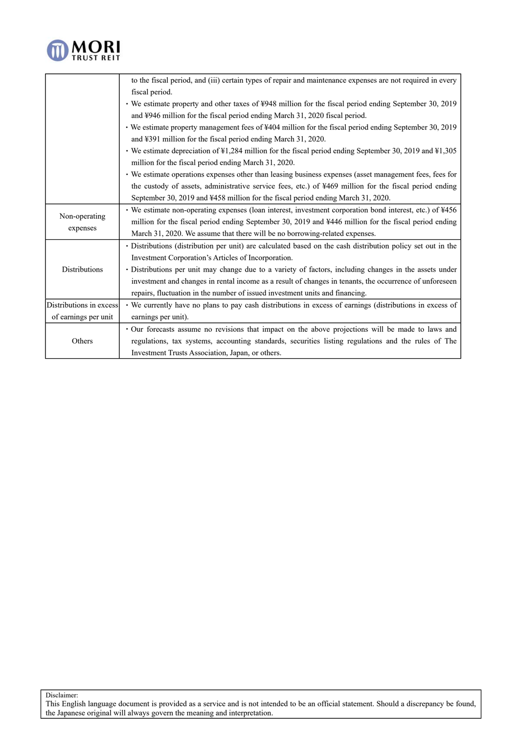

|                         | to the fiscal period, and (iii) certain types of repair and maintenance expenses are not required in every  |
|-------------------------|-------------------------------------------------------------------------------------------------------------|
|                         | fiscal period.                                                                                              |
|                         | • We estimate property and other taxes of ¥948 million for the fiscal period ending September 30, 2019      |
|                         | and ¥946 million for the fiscal period ending March 31, 2020 fiscal period.                                 |
|                         | • We estimate property management fees of ¥404 million for the fiscal period ending September 30, 2019      |
|                         | and ¥391 million for the fiscal period ending March 31, 2020.                                               |
|                         | • We estimate depreciation of ¥1,284 million for the fiscal period ending September 30, 2019 and ¥1,305     |
|                         | million for the fiscal period ending March 31, 2020.                                                        |
|                         | • We estimate operations expenses other than leasing business expenses (asset management fees, fees for     |
|                         | the custody of assets, administrative service fees, etc.) of ¥469 million for the fiscal period ending      |
|                         | September 30, 2019 and ¥458 million for the fiscal period ending March 31, 2020.                            |
|                         | • We estimate non-operating expenses (loan interest, investment corporation bond interest, etc.) of ¥456    |
| Non-operating           | million for the fiscal period ending September 30, 2019 and ¥446 million for the fiscal period ending       |
| expenses                | March 31, 2020. We assume that there will be no borrowing-related expenses.                                 |
|                         | • Distributions (distribution per unit) are calculated based on the cash distribution policy set out in the |
|                         | Investment Corporation's Articles of Incorporation.                                                         |
| <b>Distributions</b>    | · Distributions per unit may change due to a variety of factors, including changes in the assets under      |
|                         | investment and changes in rental income as a result of changes in tenants, the occurrence of unforeseen     |
|                         | repairs, fluctuation in the number of issued investment units and financing.                                |
| Distributions in excess | • We currently have no plans to pay cash distributions in excess of earnings (distributions in excess of    |
| of earnings per unit    | earnings per unit).                                                                                         |
|                         | · Our forecasts assume no revisions that impact on the above projections will be made to laws and           |
| Others                  | regulations, tax systems, accounting standards, securities listing regulations and the rules of The         |
|                         | Investment Trusts Association, Japan, or others.                                                            |

Disclaimer: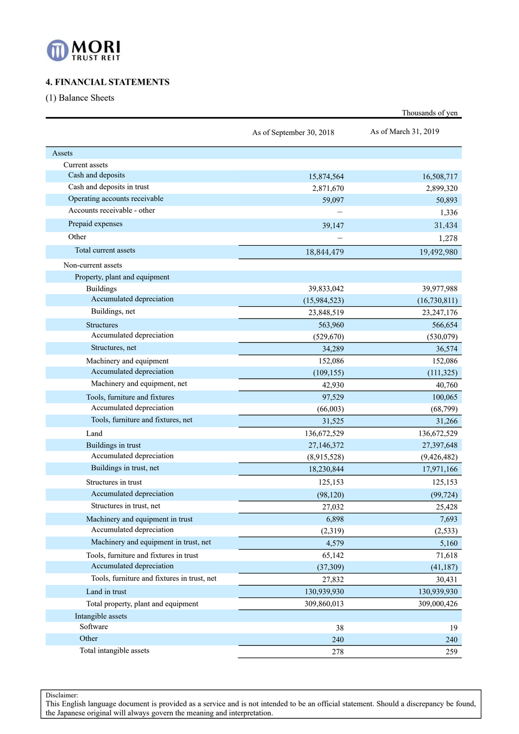

# **4. FINANCIAL STATEMENTS**

(1) Balance Sheets

|                                             |                          | Thousands of yen     |
|---------------------------------------------|--------------------------|----------------------|
|                                             | As of September 30, 2018 | As of March 31, 2019 |
| Assets                                      |                          |                      |
| Current assets                              |                          |                      |
| Cash and deposits                           | 15,874,564               | 16,508,717           |
| Cash and deposits in trust                  | 2,871,670                | 2,899,320            |
| Operating accounts receivable               | 59,097                   | 50,893               |
| Accounts receivable - other                 |                          | 1,336                |
| Prepaid expenses                            | 39,147                   | 31,434               |
| Other                                       |                          | 1,278                |
| Total current assets                        | 18,844,479               | 19,492,980           |
| Non-current assets                          |                          |                      |
| Property, plant and equipment               |                          |                      |
| <b>Buildings</b>                            | 39,833,042               | 39,977,988           |
| Accumulated depreciation                    | (15,984,523)             | (16, 730, 811)       |
| Buildings, net                              | 23,848,519               | 23, 247, 176         |
| <b>Structures</b>                           | 563,960                  | 566,654              |
| Accumulated depreciation                    | (529, 670)               | (530,079)            |
| Structures, net                             | 34,289                   | 36,574               |
| Machinery and equipment                     | 152,086                  | 152,086              |
| Accumulated depreciation                    | (109, 155)               | (111, 325)           |
| Machinery and equipment, net                | 42,930                   | 40,760               |
| Tools, furniture and fixtures               | 97,529                   | 100,065              |
| Accumulated depreciation                    | (66,003)                 | (68, 799)            |
| Tools, furniture and fixtures, net          | 31,525                   | 31,266               |
| Land                                        | 136,672,529              | 136,672,529          |
| Buildings in trust                          | 27,146,372               | 27,397,648           |
| Accumulated depreciation                    | (8,915,528)              | (9,426,482)          |
| Buildings in trust, net                     | 18,230,844               | 17,971,166           |
| Structures in trust                         | 125,153                  | 125,153              |
| Accumulated depreciation                    | (98, 120)                | (99, 724)            |
| Structures in trust, net                    | 27,032                   | 25,428               |
| Machinery and equipment in trust            | 6,898                    | 7,693                |
| Accumulated depreciation                    | (2,319)                  | (2, 533)             |
| Machinery and equipment in trust, net       | 4,579                    | 5,160                |
| Tools, furniture and fixtures in trust      | 65,142                   | 71,618               |
| Accumulated depreciation                    | (37, 309)                | (41, 187)            |
| Tools, furniture and fixtures in trust, net | 27,832                   | 30,431               |
| Land in trust                               | 130,939,930              | 130,939,930          |
| Total property, plant and equipment         | 309,860,013              | 309,000,426          |
| Intangible assets                           |                          |                      |
| Software                                    | 38                       | 19                   |
| Other                                       | 240                      | 240                  |
| Total intangible assets                     | 278                      | 259                  |

Disclaimer: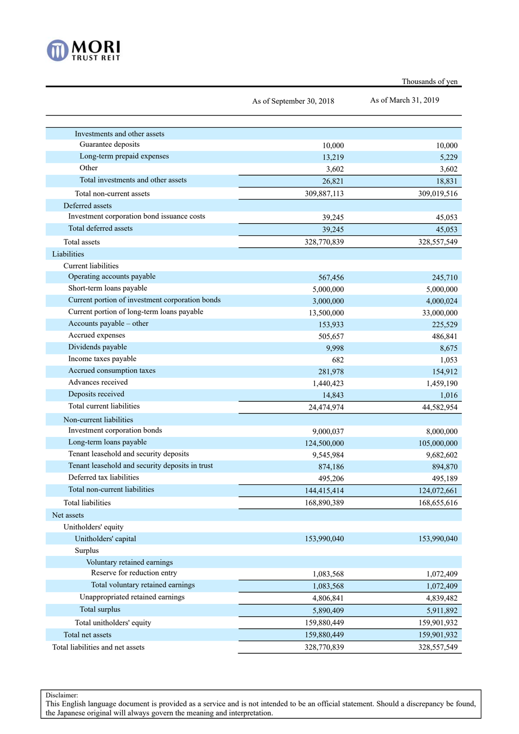

| Thousands of yen |
|------------------|
|                  |

|                                                    | As of September 30, 2018 | As of March 31, 2019 |
|----------------------------------------------------|--------------------------|----------------------|
|                                                    |                          |                      |
|                                                    |                          |                      |
| Investments and other assets<br>Guarantee deposits |                          |                      |
|                                                    | 10,000                   | 10,000               |
| Long-term prepaid expenses<br>Other                | 13,219                   | 5,229                |
|                                                    | 3,602                    | 3,602                |
| Total investments and other assets                 | 26,821                   | 18,831               |
| Total non-current assets                           | 309,887,113              | 309,019,516          |
| Deferred assets                                    |                          |                      |
| Investment corporation bond issuance costs         | 39,245                   | 45,053               |
| Total deferred assets                              | 39,245                   | 45,053               |
| Total assets                                       | 328,770,839              | 328,557,549          |
| Liabilities                                        |                          |                      |
| <b>Current liabilities</b>                         |                          |                      |
| Operating accounts payable                         | 567,456                  | 245,710              |
| Short-term loans payable                           | 5,000,000                | 5,000,000            |
| Current portion of investment corporation bonds    | 3,000,000                | 4,000,024            |
| Current portion of long-term loans payable         | 13,500,000               | 33,000,000           |
| Accounts payable – other                           | 153,933                  | 225,529              |
| Accrued expenses                                   | 505,657                  | 486,841              |
| Dividends payable                                  | 9,998                    | 8,675                |
| Income taxes payable                               | 682                      | 1,053                |
| Accrued consumption taxes                          | 281,978                  | 154,912              |
| Advances received                                  | 1,440,423                | 1,459,190            |
| Deposits received                                  | 14,843                   | 1,016                |
| Total current liabilities                          | 24,474,974               | 44,582,954           |
| Non-current liabilities                            |                          |                      |
| Investment corporation bonds                       | 9,000,037                | 8,000,000            |
| Long-term loans payable                            | 124,500,000              | 105,000,000          |
| Tenant leasehold and security deposits             | 9,545,984                | 9,682,602            |
| Tenant leasehold and security deposits in trust    | 874,186                  | 894,870              |
| Deferred tax liabilities                           | 495,206                  | 495,189              |
| Total non-current liabilities                      | 144,415,414              | 124,072,661          |
| Total liabilities                                  | 168,890,389              | 168,655,616          |
| Net assets                                         |                          |                      |
| Unitholders' equity                                |                          |                      |
| Unitholders' capital                               | 153,990,040              | 153,990,040          |
| Surplus                                            |                          |                      |
| Voluntary retained earnings                        |                          |                      |
| Reserve for reduction entry                        | 1,083,568                | 1,072,409            |
| Total voluntary retained earnings                  | 1,083,568                | 1,072,409            |
| Unappropriated retained earnings                   | 4,806,841                | 4,839,482            |
| Total surplus                                      | 5,890,409                | 5,911,892            |
| Total unitholders' equity                          |                          |                      |
|                                                    | 159,880,449              | 159,901,932          |
| Total net assets                                   | 159,880,449              | 159,901,932          |
| Total liabilities and net assets                   | 328,770,839              | 328,557,549          |

Disclaimer: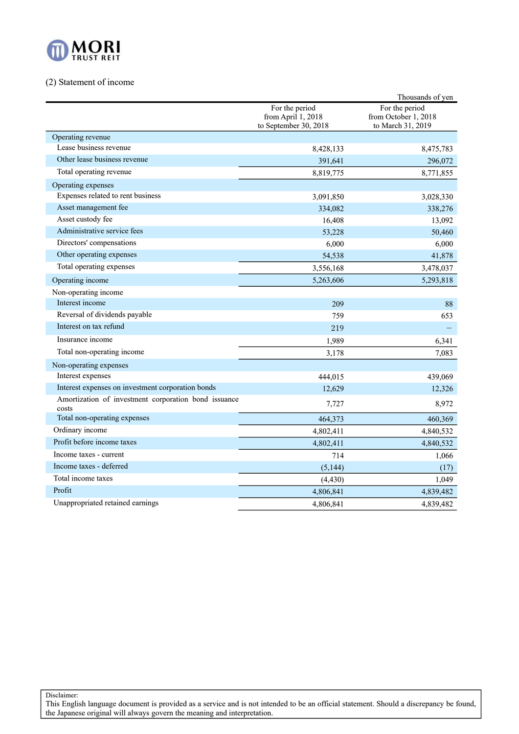

# (2) Statement of income

|                                                               |                                                               | Thousands of yen                                            |
|---------------------------------------------------------------|---------------------------------------------------------------|-------------------------------------------------------------|
|                                                               | For the period<br>from April 1, 2018<br>to September 30, 2018 | For the period<br>from October 1, 2018<br>to March 31, 2019 |
| Operating revenue                                             |                                                               |                                                             |
| Lease business revenue                                        | 8,428,133                                                     | 8,475,783                                                   |
| Other lease business revenue                                  | 391,641                                                       | 296,072                                                     |
| Total operating revenue                                       | 8,819,775                                                     | 8,771,855                                                   |
| Operating expenses                                            |                                                               |                                                             |
| Expenses related to rent business                             | 3,091,850                                                     | 3,028,330                                                   |
| Asset management fee                                          | 334,082                                                       | 338,276                                                     |
| Asset custody fee                                             | 16,408                                                        | 13,092                                                      |
| Administrative service fees                                   | 53,228                                                        | 50,460                                                      |
| Directors' compensations                                      | 6,000                                                         | 6,000                                                       |
| Other operating expenses                                      | 54,538                                                        | 41,878                                                      |
| Total operating expenses                                      | 3,556,168                                                     | 3,478,037                                                   |
| Operating income                                              | 5,263,606                                                     | 5,293,818                                                   |
| Non-operating income                                          |                                                               |                                                             |
| Interest income                                               | 209                                                           | 88                                                          |
| Reversal of dividends payable                                 | 759                                                           | 653                                                         |
| Interest on tax refund                                        | 219                                                           |                                                             |
| Insurance income                                              | 1,989                                                         | 6,341                                                       |
| Total non-operating income                                    | 3,178                                                         | 7,083                                                       |
| Non-operating expenses                                        |                                                               |                                                             |
| Interest expenses                                             | 444,015                                                       | 439,069                                                     |
| Interest expenses on investment corporation bonds             | 12,629                                                        | 12,326                                                      |
| Amortization of investment corporation bond issuance<br>costs | 7,727                                                         | 8,972                                                       |
| Total non-operating expenses                                  | 464,373                                                       | 460,369                                                     |
| Ordinary income                                               | 4,802,411                                                     | 4,840,532                                                   |
| Profit before income taxes                                    | 4,802,411                                                     | 4,840,532                                                   |
| Income taxes - current                                        | 714                                                           | 1,066                                                       |
| Income taxes - deferred                                       | (5,144)                                                       | (17)                                                        |
| Total income taxes                                            | (4, 430)                                                      | 1,049                                                       |
| Profit                                                        | 4,806,841                                                     | 4,839,482                                                   |
| Unappropriated retained earnings                              | 4,806,841                                                     | 4,839,482                                                   |

Disclaimer: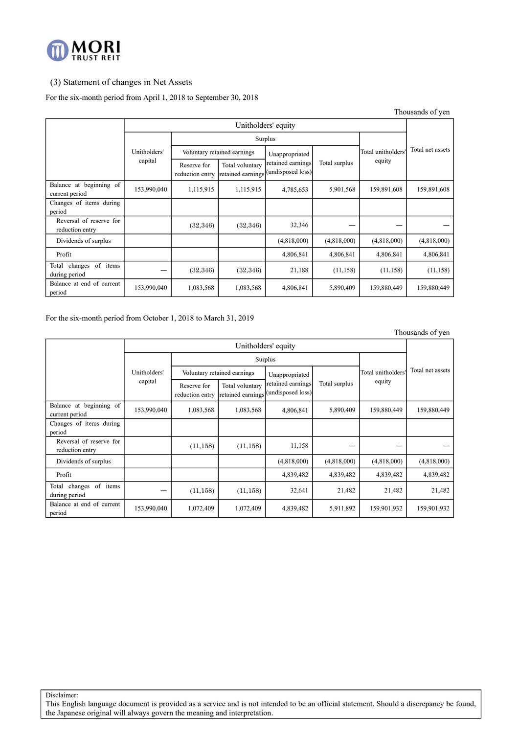

### (3) Statement of changes in Net Assets

### For the six-month period from April 1, 2018 to September 30, 2018

|                                               |              |                                | Thousands of yen                     |                                        |               |                    |                  |  |
|-----------------------------------------------|--------------|--------------------------------|--------------------------------------|----------------------------------------|---------------|--------------------|------------------|--|
|                                               |              |                                |                                      | Unitholders' equity                    |               |                    |                  |  |
|                                               |              |                                |                                      | Surplus                                |               |                    |                  |  |
|                                               | Unitholders' | Voluntary retained earnings    |                                      | Unappropriated                         |               | Total unitholders' | Total net assets |  |
|                                               | capital      | Reserve for<br>reduction entry | Total voluntary<br>retained earnings | retained earnings<br>(undisposed loss) | Total surplus | equity             |                  |  |
| Balance at beginning of<br>current period     | 153,990,040  | 1,115,915                      | 1,115,915                            | 4,785,653                              | 5,901,568     | 159,891,608        | 159,891,608      |  |
| Changes of items during<br>period             |              |                                |                                      |                                        |               |                    |                  |  |
| Reversal of reserve for<br>reduction entry    |              | (32, 346)                      | (32, 346)                            | 32,346                                 |               |                    |                  |  |
| Dividends of surplus                          |              |                                |                                      | (4,818,000)                            | (4,818,000)   | (4,818,000)        | (4,818,000)      |  |
| Profit                                        |              |                                |                                      | 4,806,841                              | 4,806,841     | 4,806,841          | 4,806,841        |  |
| of items<br>Total<br>changes<br>during period |              | (32, 346)                      | (32, 346)                            | 21,188                                 | (11, 158)     | (11, 158)          | (11, 158)        |  |
| Balance at end of current<br>period           | 153,990,040  | 1,083,568                      | 1,083,568                            | 4,806,841                              | 5,890,409     | 159,880,449        | 159,880,449      |  |

#### For the six-month period from October 1, 2018 to March 31, 2019

Thousands of yen

|                                            |              | Unitholders' equity            |                                      |                                        |               |                    |                  |  |  |
|--------------------------------------------|--------------|--------------------------------|--------------------------------------|----------------------------------------|---------------|--------------------|------------------|--|--|
|                                            |              |                                | Surplus                              |                                        |               |                    |                  |  |  |
|                                            | Unitholders' |                                | Voluntary retained earnings          | Unappropriated                         |               | Total unitholders' | Total net assets |  |  |
|                                            | capital      | Reserve for<br>reduction entry | Total voluntary<br>retained earnings | retained earnings<br>(undisposed loss) | Total surplus | equity             |                  |  |  |
| Balance at beginning of<br>current period  | 153,990,040  | 1,083,568                      | 1,083,568                            | 4,806,841                              | 5,890,409     | 159,880,449        | 159,880,449      |  |  |
| Changes of items during<br>period          |              |                                |                                      |                                        |               |                    |                  |  |  |
| Reversal of reserve for<br>reduction entry |              | (11, 158)                      | (11, 158)                            | 11,158                                 |               |                    |                  |  |  |
| Dividends of surplus                       |              |                                |                                      | (4,818,000)                            | (4,818,000)   | (4,818,000)        | (4,818,000)      |  |  |
| Profit                                     |              |                                |                                      | 4,839,482                              | 4,839,482     | 4,839,482          | 4,839,482        |  |  |
| Total changes of items<br>during period    |              | (11, 158)                      | (11, 158)                            | 32,641                                 | 21,482        | 21,482             | 21,482           |  |  |
| Balance at end of current<br>period        | 153,990,040  | 1,072,409                      | 1,072,409                            | 4,839,482                              | 5,911,892     | 159,901,932        | 159,901,932      |  |  |

Disclaimer: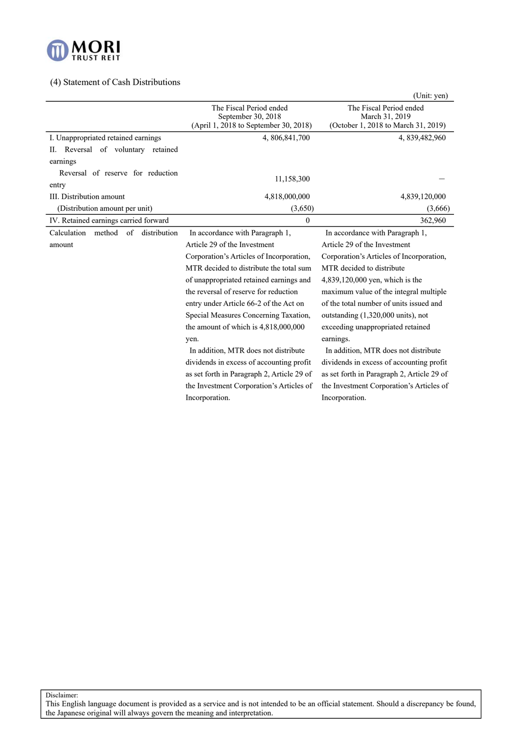

# (4) Statement of Cash Distributions

|                                                  |                                               | (Unit: yen)                                   |  |  |
|--------------------------------------------------|-----------------------------------------------|-----------------------------------------------|--|--|
|                                                  | The Fiscal Period ended<br>September 30, 2018 | The Fiscal Period ended<br>March 31, 2019     |  |  |
|                                                  | (April 1, 2018 to September 30, 2018)         | (October 1, 2018 to March 31, 2019)           |  |  |
| I. Unappropriated retained earnings              | 4, 806, 841, 700                              | 4, 839, 482, 960                              |  |  |
| Reversal of voluntary retained<br>Н.             |                                               |                                               |  |  |
| earnings                                         |                                               |                                               |  |  |
| Reversal of reserve for reduction                | 11,158,300                                    |                                               |  |  |
| entry                                            |                                               |                                               |  |  |
| III. Distribution amount                         | 4,818,000,000                                 | 4,839,120,000                                 |  |  |
| (Distribution amount per unit)                   | (3,650)                                       | (3,666)                                       |  |  |
| IV. Retained earnings carried forward            | $\theta$                                      | 362,960                                       |  |  |
| Calculation method<br>$\sigma$ f<br>distribution | In accordance with Paragraph 1,               | In accordance with Paragraph 1,               |  |  |
| amount                                           | Article 29 of the Investment                  | Article 29 of the Investment                  |  |  |
|                                                  | Corporation's Articles of Incorporation,      | Corporation's Articles of Incorporation,      |  |  |
|                                                  | MTR decided to distribute the total sum       | MTR decided to distribute                     |  |  |
|                                                  | of unappropriated retained earnings and       | 4,839,120,000 yen, which is the               |  |  |
|                                                  | the reversal of reserve for reduction         | maximum value of the integral multiple        |  |  |
|                                                  | entry under Article 66-2 of the Act on        | of the total number of units issued and       |  |  |
|                                                  | Special Measures Concerning Taxation,         | outstanding $(1,320,000 \text{ units})$ , not |  |  |
|                                                  | the amount of which is 4,818,000,000          | exceeding unappropriated retained             |  |  |
|                                                  | yen.                                          | earnings.                                     |  |  |
|                                                  | In addition, MTR does not distribute          | In addition, MTR does not distribute          |  |  |
|                                                  | dividends in excess of accounting profit      | dividends in excess of accounting profit      |  |  |
|                                                  | as set forth in Paragraph 2, Article 29 of    | as set forth in Paragraph 2, Article 29 of    |  |  |
|                                                  | the Investment Corporation's Articles of      | the Investment Corporation's Articles of      |  |  |
|                                                  | Incorporation.                                | Incorporation.                                |  |  |

Disclaimer: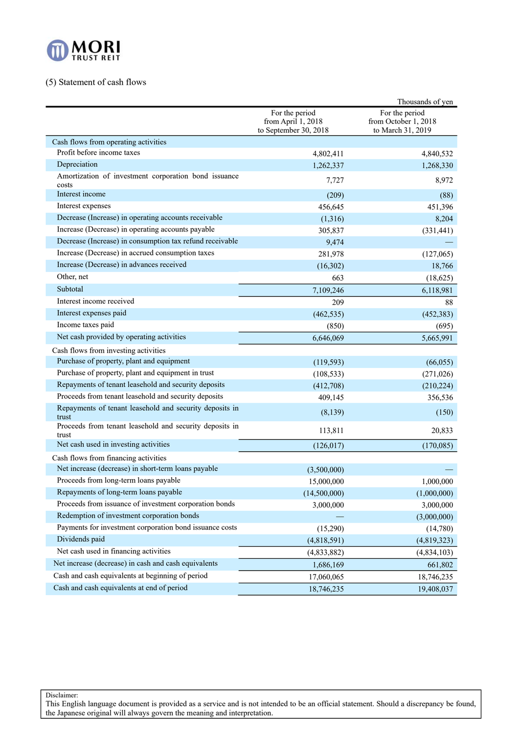

# (5) Statement of cash flows

|                                                                  |                                                               | Thousands of yen                                            |
|------------------------------------------------------------------|---------------------------------------------------------------|-------------------------------------------------------------|
|                                                                  | For the period<br>from April 1, 2018<br>to September 30, 2018 | For the period<br>from October 1, 2018<br>to March 31, 2019 |
| Cash flows from operating activities                             |                                                               |                                                             |
| Profit before income taxes                                       | 4,802,411                                                     | 4,840,532                                                   |
| Depreciation                                                     | 1,262,337                                                     | 1,268,330                                                   |
| Amortization of investment corporation bond issuance<br>costs    | 7,727                                                         | 8,972                                                       |
| Interest income                                                  | (209)                                                         | (88)                                                        |
| Interest expenses                                                | 456,645                                                       | 451,396                                                     |
| Decrease (Increase) in operating accounts receivable             | (1,316)                                                       | 8,204                                                       |
| Increase (Decrease) in operating accounts payable                | 305,837                                                       | (331, 441)                                                  |
| Decrease (Increase) in consumption tax refund receivable         | 9,474                                                         |                                                             |
| Increase (Decrease) in accrued consumption taxes                 | 281,978                                                       | (127,065)                                                   |
| Increase (Decrease) in advances received                         | (16,302)                                                      | 18,766                                                      |
| Other, net                                                       | 663                                                           | (18,625)                                                    |
| Subtotal                                                         | 7,109,246                                                     | 6,118,981                                                   |
| Interest income received                                         | 209                                                           | 88                                                          |
| Interest expenses paid                                           | (462, 535)                                                    | (452, 383)                                                  |
| Income taxes paid                                                | (850)                                                         | (695)                                                       |
| Net cash provided by operating activities                        | 6,646,069                                                     | 5,665,991                                                   |
| Cash flows from investing activities                             |                                                               |                                                             |
| Purchase of property, plant and equipment                        | (119, 593)                                                    | (66, 055)                                                   |
| Purchase of property, plant and equipment in trust               | (108, 533)                                                    | (271, 026)                                                  |
| Repayments of tenant leasehold and security deposits             | (412,708)                                                     | (210, 224)                                                  |
| Proceeds from tenant leasehold and security deposits             | 409,145                                                       | 356,536                                                     |
| Repayments of tenant leasehold and security deposits in<br>trust | (8, 139)                                                      | (150)                                                       |
| Proceeds from tenant leasehold and security deposits in<br>trust | 113,811                                                       | 20,833                                                      |
| Net cash used in investing activities                            | (126, 017)                                                    | (170,085)                                                   |
| Cash flows from financing activities                             |                                                               |                                                             |
| Net increase (decrease) in short-term loans payable              | (3,500,000)                                                   |                                                             |
| Proceeds from long-term loans payable                            | 15,000,000                                                    | 1,000,000                                                   |
| Repayments of long-term loans payable                            | (14,500,000)                                                  | (1,000,000)                                                 |
| Proceeds from issuance of investment corporation bonds           | 3,000,000                                                     | 3,000,000                                                   |
| Redemption of investment corporation bonds                       |                                                               | (3,000,000)                                                 |
| Payments for investment corporation bond issuance costs          | (15,290)                                                      | (14,780)                                                    |
| Dividends paid                                                   | (4,818,591)                                                   | (4,819,323)                                                 |
| Net cash used in financing activities                            | (4,833,882)                                                   | (4,834,103)                                                 |
| Net increase (decrease) in cash and cash equivalents             | 1,686,169                                                     | 661,802                                                     |
| Cash and cash equivalents at beginning of period                 | 17,060,065                                                    | 18,746,235                                                  |
| Cash and cash equivalents at end of period                       | 18,746,235                                                    | 19,408,037                                                  |

Disclaimer: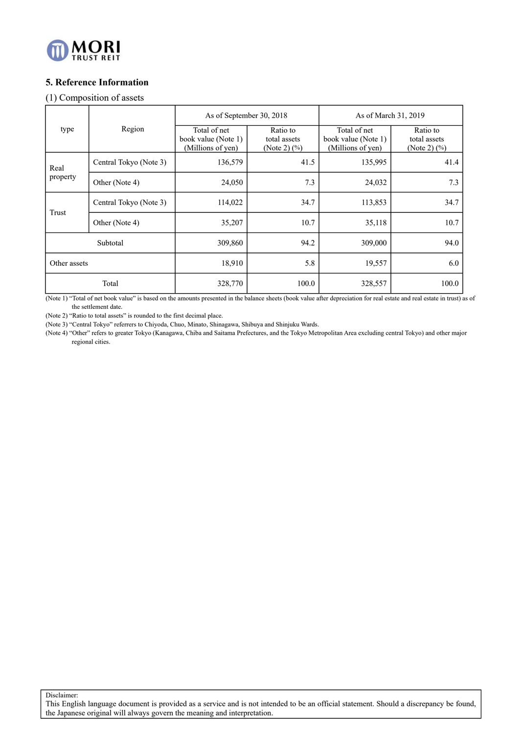

# **5. Reference Information**

## (1) Composition of assets

|              |                        | As of September 30, 2018                                 |                                             | As of March 31, 2019                                     |                                              |  |  |
|--------------|------------------------|----------------------------------------------------------|---------------------------------------------|----------------------------------------------------------|----------------------------------------------|--|--|
| type         | Region                 | Total of net<br>book value (Note 1)<br>(Millions of yen) | Ratio to<br>total assets<br>(Note 2) $(\%)$ | Total of net<br>book value (Note 1)<br>(Millions of yen) | Ratio to<br>total assets<br>(Note 2) $(\% )$ |  |  |
| Real         | Central Tokyo (Note 3) | 136,579                                                  | 41.5                                        | 135,995                                                  | 41.4                                         |  |  |
| property     | Other (Note 4)         | 24,050                                                   | 7.3                                         | 24,032                                                   | 7.3                                          |  |  |
|              | Central Tokyo (Note 3) | 114,022                                                  | 34.7                                        | 113,853                                                  | 34.7                                         |  |  |
| Trust        | Other (Note 4)         | 35,207                                                   | 10.7                                        | 35,118                                                   | 10.7                                         |  |  |
|              | Subtotal               | 309,860                                                  | 94.2                                        | 309,000                                                  | 94.0                                         |  |  |
| Other assets |                        | 18,910                                                   | 5.8                                         | 19,557                                                   | 6.0                                          |  |  |
|              | Total                  | 328,770                                                  | 100.0                                       | 328,557                                                  | 100.0                                        |  |  |

(Note 1) "Total of net book value" is based on the amounts presented in the balance sheets (book value after depreciation for real estate and real estate in trust) as of the settlement date.

(Note 2) "Ratio to total assets" is rounded to the first decimal place.

(Note 3) "Central Tokyo" referrers to Chiyoda, Chuo, Minato, Shinagawa, Shibuya and Shinjuku Wards.

(Note 4) "Other" refers to greater Tokyo (Kanagawa, Chiba and Saitama Prefectures, and the Tokyo Metropolitan Area excluding central Tokyo) and other major regional cities.

Disclaimer: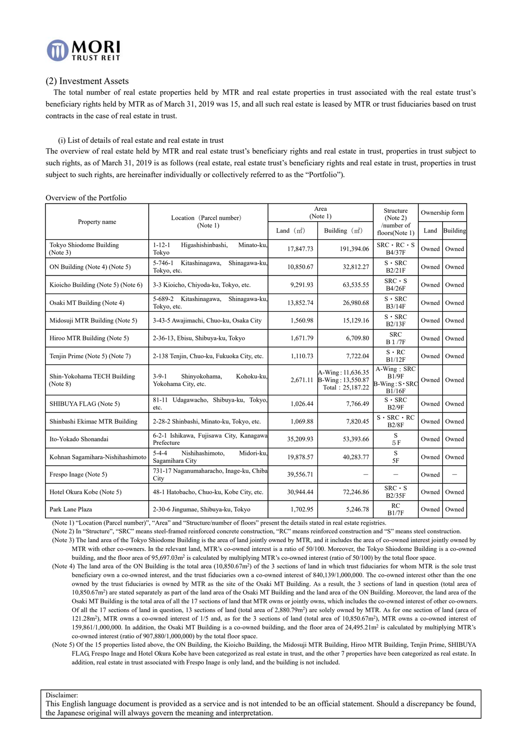

### (2) Investment Assets

The total number of real estate properties held by MTR and real estate properties in trust associated with the real estate trust's beneficiary rights held by MTR as of March 31, 2019 was 15, and all such real estate is leased by MTR or trust fiduciaries based on trust contracts in the case of real estate in trust.

### (i) List of details of real estate and real estate in trust

The overview of real estate held by MTR and real estate trust's beneficiary rights and real estate in trust, properties in trust subject to such rights, as of March 31, 2019 is as follows (real estate, real estate trust's beneficiary rights and real estate in trust, properties in trust subject to such rights, are hereinafter individually or collectively referred to as the "Portfolio").

| Property name                           | Location (Parcel number)                                          |             | Area<br>(Note 1)                                           | Structure<br>(Note 2)                                   |       | Ownership form  |
|-----------------------------------------|-------------------------------------------------------------------|-------------|------------------------------------------------------------|---------------------------------------------------------|-------|-----------------|
|                                         | (Note 1)                                                          | Land $(m2)$ | Building $(m2)$                                            | /number of<br>floors(Note 1)                            | Land  | <b>Building</b> |
| Tokyo Shiodome Building<br>(Note 3)     | $1 - 12 - 1$<br>Minato-ku,<br>Higashishinbashi,<br>Tokyo          | 17,847.73   | 191.394.06                                                 | $SRC \cdot RC \cdot S$<br><b>B4/37F</b>                 | Owned | Owned           |
| ON Building (Note 4) (Note 5)           | $5 - 746 - 1$<br>Kitashinagawa,<br>Shinagawa-ku<br>Tokyo, etc.    | 10.850.67   | 32,812.27                                                  | $S \cdot$ SRC<br>B2/21F                                 | Owned | Owned           |
| Kioicho Building (Note 5) (Note 6)      | 3-3 Kioicho, Chiyoda-ku, Tokyo, etc.                              | 9,291.93    | 63,535.55                                                  | $SRC \cdot s$<br><b>B4/26F</b>                          | Owned | Owned           |
| Osaki MT Building (Note 4)              | 5-689-2 Kitashinagawa,<br>Shinagawa-ku,<br>Tokyo, etc.            | 13,852.74   | 26,980.68                                                  | $S \cdot$ SRC<br>B3/14F                                 | Owned | Owned           |
| Midosuji MTR Building (Note 5)          | 3-43-5 Awajimachi, Chuo-ku, Osaka City                            | 1,560.98    | 15,129.16                                                  | $S \cdot$ SRC<br>B2/13F                                 | Owned | Owned           |
| Hiroo MTR Building (Note 5)             | 2-36-13, Ebisu, Shibuya-ku, Tokyo                                 | 1,671.79    | 6,709.80                                                   | <b>SRC</b><br><b>B</b> 1/7F                             | Owned | Owned           |
| Tenjin Prime (Note 5) (Note 7)          | 2-138 Tenjin, Chuo-ku, Fukuoka City, etc.                         | 1,110.73    | 7,722.04                                                   | $S \cdot RC$<br>B1/12F                                  | Owned | Owned           |
| Shin-Yokohama TECH Building<br>(Note 8) | $3 - 9 - 1$<br>Shinyokohama,<br>Kohoku-ku.<br>Yokohama City, etc. | 2,671.11    | A-Wing: 11,636.35<br>B-Wing: 13,550.87<br>Total: 25,187.22 | A-Wing: SRC<br>B1/9F<br>$B-Wing: S \cdot SRC$<br>B1/16F | Owned | Owned           |
| SHIBUYA FLAG (Note 5)                   | 81-11 Udagawacho, Shibuya-ku, Tokyo,<br>etc.                      | 1.026.44    | 7,766.49                                                   | $S \cdot SRC$<br>B2/9F                                  | Owned | Owned           |
| Shinbashi Ekimae MTR Building           | 2-28-2 Shinbashi, Minato-ku, Tokyo, etc.                          | 1.069.88    | 7,820.45                                                   | $S \cdot$ SRC $\cdot$ RC<br>B2/8F                       | Owned | Owned           |
| Ito-Yokado Shonandai                    | 6-2-1 Ishikawa, Fujisawa City, Kanagawa<br>Prefecture             | 35,209.93   | 53,393.66                                                  | S<br>5F                                                 | Owned | Owned           |
| Kohnan Sagamihara-Nishihashimoto        | $5 - 4 - 4$<br>Nishihashimoto,<br>Midori-ku.<br>Sagamihara City   | 19,878.57   | 40,283.77                                                  | S<br>5F                                                 | Owned | Owned           |
| Frespo Inage (Note 5)                   | 731-17 Naganumaharacho, Inage-ku, Chiba<br>City                   | 39,556.71   |                                                            |                                                         | Owned | —               |
| Hotel Okura Kobe (Note 5)               | 48-1 Hatobacho, Chuo-ku, Kobe City, etc.                          | 30,944.44   | 72,246.86                                                  | $SRC \cdot S$<br><b>B2/35F</b>                          | Owned | Owned           |
| Park Lane Plaza                         | 2-30-6 Jingumae, Shibuya-ku, Tokyo                                | 1,702.95    | 5,246.78                                                   | RC<br>B1/7F                                             | Owned | Owned           |

Overview of the Portfolio

(Note 1) "Location (Parcel number)", "Area" and "Structure/number of floors" present the details stated in real estate registries.

(Note 2) In "Structure", "SRC" means steel-framed reinforced concrete construction, "RC" means reinforced construction and "S" means steel construction.

(Note 3) The land area of the Tokyo Shiodome Building is the area of land jointly owned by MTR, and it includes the area of co-owned interest jointly owned by MTR with other co-owners. In the relevant land, MTR's co-owned interest is a ratio of 50/100. Moreover, the Tokyo Shiodome Building is a co-owned building, and the floor area of 95,697.03m<sup>2</sup> is calculated by multiplying MTR's co-owned interest (ratio of 50/100) by the total floor space.

- (Note 4) The land area of the ON Building is the total area (10,850.67m2) of the 3 sections of land in which trust fiduciaries for whom MTR is the sole trust beneficiary own a co-owned interest, and the trust fiduciaries own a co-owned interest of 840,139/1,000,000. The co-owned interest other than the one owned by the trust fiduciaries is owned by MTR as the site of the Osaki MT Building. As a result, the 3 sections of land in question (total area of 10,850.67m2) are stated separately as part of the land area of the Osaki MT Building and the land area of the ON Building. Moreover, the land area of the Osaki MT Building is the total area of all the 17 sections of land that MTR owns or jointly owns, which includes the co-owned interest of other co-owners. Of all the 17 sections of land in question, 13 sections of land (total area of  $2.880.79m<sup>2</sup>$ ) are solely owned by MTR. As for one section of land (area of 121.28m2), MTR owns a co-owned interest of 1/5 and, as for the 3 sections of land (total area of 10,850.67m2), MTR owns a co-owned interest of 159,861/1,000,000. In addition, the Osaki MT Building is a co-owned building, and the floor area of 24,495.21m2 is calculated by multiplying MTR's co-owned interest (ratio of 907,880/1,000,000) by the total floor space.
- (Note 5) Of the 15 properties listed above, the ON Building, the Kioicho Building, the Midosuji MTR Building, Hiroo MTR Building, Tenjin Prime, SHIBUYA FLAG, Frespo Inage and Hotel Okura Kobe have been categorized as real estate in trust, and the other 7 properties have been categorized as real estate. In addition, real estate in trust associated with Frespo Inage is only land, and the building is not included.

Disclaimer: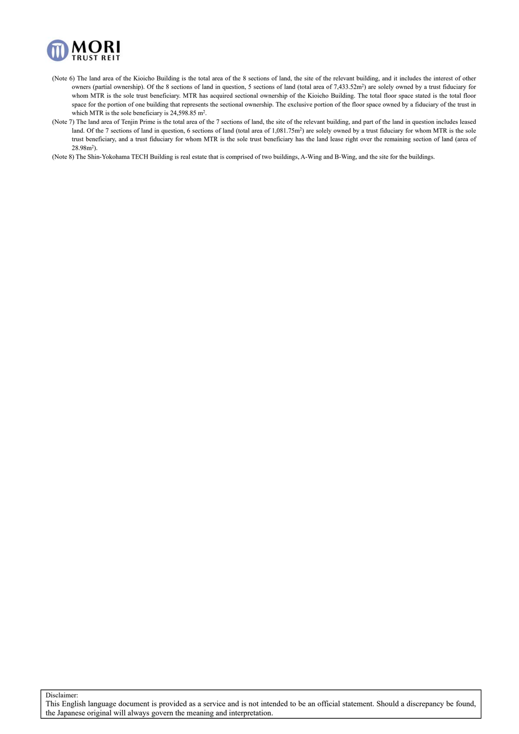

- (Note 6) The land area of the Kioicho Building is the total area of the 8 sections of land, the site of the relevant building, and it includes the interest of other owners (partial ownership). Of the 8 sections of land in question, 5 sections of land (total area of 7,433.52m<sup>2</sup>) are solely owned by a trust fiduciary for whom MTR is the sole trust beneficiary. MTR has acquired sectional ownership of the Kioicho Building. The total floor space stated is the total floor space for the portion of one building that represents the sectional ownership. The exclusive portion of the floor space owned by a fiduciary of the trust in which MTR is the sole beneficiary is 24,598.85 m<sup>2</sup>.
- (Note 7) The land area of Tenjin Prime is the total area of the 7 sections of land, the site of the relevant building, and part of the land in question includes leased land. Of the 7 sections of land in question, 6 sections of land (total area of  $1.081.75m<sup>2</sup>$ ) are solely owned by a trust fiduciary for whom MTR is the sole trust beneficiary, and a trust fiduciary for whom MTR is the sole trust beneficiary has the land lease right over the remaining section of land (area of 28.98m2).

(Note 8) The Shin-Yokohama TECH Building is real estate that is comprised of two buildings, A-Wing and B-Wing, and the site for the buildings.

Disclaimer:

This English language document is provided as a service and is not intended to be an official statement. Should a discrepancy be found, the Japanese original will always govern the meaning and interpretation.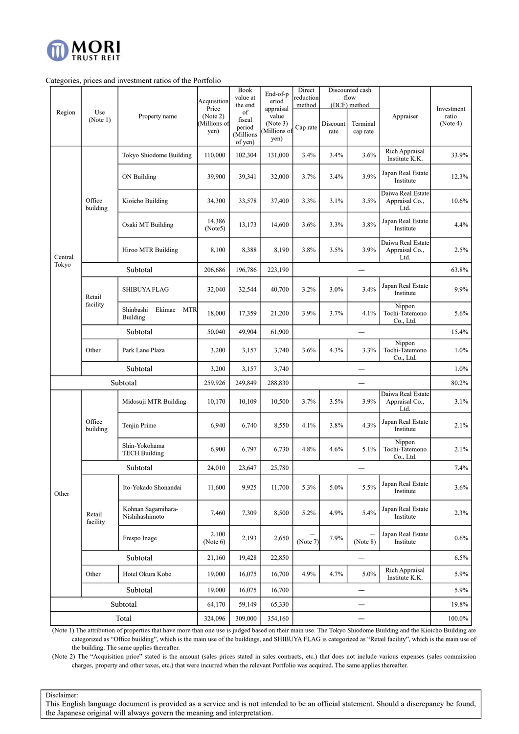

### Categories, prices and investment ratios of the Portfolio

| End-of-p<br>reduction<br>value at<br>flow<br>eriod<br>Acquisition<br>the end<br>method<br>(DCF) method<br>Price<br>appraisal<br>Investment<br>Use<br>Region<br>of<br>(Note 2)<br>value<br>ratio<br>Property name<br>Appraiser<br>(Note 1)<br>fiscal<br>(Note 3)<br>Millions of<br>(Note 4)<br>Discount<br>Terminal<br>period<br>Cap rate<br>Millions of<br>yen)<br>cap rate<br>rate<br>(Millions<br>yen)<br>of yen)<br>Rich Appraisal<br>102,304<br>3.6%<br>33.9%<br>Tokyo Shiodome Building<br>110,000<br>131,000<br>3.4%<br>3.4%<br>Institute K.K.<br>Japan Real Estate<br>3.9%<br>3.7%<br>ON Building<br>39,900<br>39,341<br>32,000<br>3.4%<br>12.3%<br>Institute<br>Daiwa Real Estate<br>Office<br>Kioicho Building<br>34,300<br>33,578<br>37,400<br>3.3%<br>3.1%<br>3.5%<br>Appraisal Co.,<br>10.6%<br>building<br>Ltd.<br>14,386<br>Japan Real Estate<br>3.8%<br>Osaki MT Building<br>13,173<br>3.6%<br>3.3%<br>4.4%<br>14,600<br>(Note5)<br>Institute<br>Daiwa Real Estate<br>8,190<br>3.8%<br>3.5%<br>3.9%<br>2.5%<br>Hiroo MTR Building<br>8,100<br>8,388<br>Appraisal Co.,<br>Central<br>Ltd.<br>Tokyo<br>Subtotal<br>206,686<br>196,786<br>223,190<br>63.8%<br>$\overline{\phantom{0}}$<br>Japan Real Estate<br>3.0%<br>3.4%<br>9.9%<br><b>SHIBUYA FLAG</b><br>32,040<br>32,544<br>40,700<br>3.2%<br>Institute<br>Retail<br>facility |
|-------------------------------------------------------------------------------------------------------------------------------------------------------------------------------------------------------------------------------------------------------------------------------------------------------------------------------------------------------------------------------------------------------------------------------------------------------------------------------------------------------------------------------------------------------------------------------------------------------------------------------------------------------------------------------------------------------------------------------------------------------------------------------------------------------------------------------------------------------------------------------------------------------------------------------------------------------------------------------------------------------------------------------------------------------------------------------------------------------------------------------------------------------------------------------------------------------------------------------------------------------------------------------------------------------------------------------------------------|
|                                                                                                                                                                                                                                                                                                                                                                                                                                                                                                                                                                                                                                                                                                                                                                                                                                                                                                                                                                                                                                                                                                                                                                                                                                                                                                                                                 |
|                                                                                                                                                                                                                                                                                                                                                                                                                                                                                                                                                                                                                                                                                                                                                                                                                                                                                                                                                                                                                                                                                                                                                                                                                                                                                                                                                 |
|                                                                                                                                                                                                                                                                                                                                                                                                                                                                                                                                                                                                                                                                                                                                                                                                                                                                                                                                                                                                                                                                                                                                                                                                                                                                                                                                                 |
|                                                                                                                                                                                                                                                                                                                                                                                                                                                                                                                                                                                                                                                                                                                                                                                                                                                                                                                                                                                                                                                                                                                                                                                                                                                                                                                                                 |
|                                                                                                                                                                                                                                                                                                                                                                                                                                                                                                                                                                                                                                                                                                                                                                                                                                                                                                                                                                                                                                                                                                                                                                                                                                                                                                                                                 |
|                                                                                                                                                                                                                                                                                                                                                                                                                                                                                                                                                                                                                                                                                                                                                                                                                                                                                                                                                                                                                                                                                                                                                                                                                                                                                                                                                 |
|                                                                                                                                                                                                                                                                                                                                                                                                                                                                                                                                                                                                                                                                                                                                                                                                                                                                                                                                                                                                                                                                                                                                                                                                                                                                                                                                                 |
|                                                                                                                                                                                                                                                                                                                                                                                                                                                                                                                                                                                                                                                                                                                                                                                                                                                                                                                                                                                                                                                                                                                                                                                                                                                                                                                                                 |
|                                                                                                                                                                                                                                                                                                                                                                                                                                                                                                                                                                                                                                                                                                                                                                                                                                                                                                                                                                                                                                                                                                                                                                                                                                                                                                                                                 |
|                                                                                                                                                                                                                                                                                                                                                                                                                                                                                                                                                                                                                                                                                                                                                                                                                                                                                                                                                                                                                                                                                                                                                                                                                                                                                                                                                 |
|                                                                                                                                                                                                                                                                                                                                                                                                                                                                                                                                                                                                                                                                                                                                                                                                                                                                                                                                                                                                                                                                                                                                                                                                                                                                                                                                                 |
|                                                                                                                                                                                                                                                                                                                                                                                                                                                                                                                                                                                                                                                                                                                                                                                                                                                                                                                                                                                                                                                                                                                                                                                                                                                                                                                                                 |
|                                                                                                                                                                                                                                                                                                                                                                                                                                                                                                                                                                                                                                                                                                                                                                                                                                                                                                                                                                                                                                                                                                                                                                                                                                                                                                                                                 |
|                                                                                                                                                                                                                                                                                                                                                                                                                                                                                                                                                                                                                                                                                                                                                                                                                                                                                                                                                                                                                                                                                                                                                                                                                                                                                                                                                 |
|                                                                                                                                                                                                                                                                                                                                                                                                                                                                                                                                                                                                                                                                                                                                                                                                                                                                                                                                                                                                                                                                                                                                                                                                                                                                                                                                                 |
|                                                                                                                                                                                                                                                                                                                                                                                                                                                                                                                                                                                                                                                                                                                                                                                                                                                                                                                                                                                                                                                                                                                                                                                                                                                                                                                                                 |
|                                                                                                                                                                                                                                                                                                                                                                                                                                                                                                                                                                                                                                                                                                                                                                                                                                                                                                                                                                                                                                                                                                                                                                                                                                                                                                                                                 |
|                                                                                                                                                                                                                                                                                                                                                                                                                                                                                                                                                                                                                                                                                                                                                                                                                                                                                                                                                                                                                                                                                                                                                                                                                                                                                                                                                 |
|                                                                                                                                                                                                                                                                                                                                                                                                                                                                                                                                                                                                                                                                                                                                                                                                                                                                                                                                                                                                                                                                                                                                                                                                                                                                                                                                                 |
| Nippon<br>Shinbashi<br>Ekimae<br><b>MTR</b><br>18,000<br>3.9%<br>17,359<br>21,200<br>3.7%<br>4.1%<br>Tochi-Tatemono<br>5.6%<br>Building                                                                                                                                                                                                                                                                                                                                                                                                                                                                                                                                                                                                                                                                                                                                                                                                                                                                                                                                                                                                                                                                                                                                                                                                         |
| Co., Ltd.                                                                                                                                                                                                                                                                                                                                                                                                                                                                                                                                                                                                                                                                                                                                                                                                                                                                                                                                                                                                                                                                                                                                                                                                                                                                                                                                       |
| Subtotal<br>50,040<br>49,904<br>61,900<br>15.4%                                                                                                                                                                                                                                                                                                                                                                                                                                                                                                                                                                                                                                                                                                                                                                                                                                                                                                                                                                                                                                                                                                                                                                                                                                                                                                 |
| Nippon<br>3.6%<br>4.3%<br>Tochi-Tatemono<br>$1.0\%$<br>Other<br>Park Lane Plaza<br>3,200<br>3,740<br>3.3%<br>3,157                                                                                                                                                                                                                                                                                                                                                                                                                                                                                                                                                                                                                                                                                                                                                                                                                                                                                                                                                                                                                                                                                                                                                                                                                              |
| Co., Ltd.                                                                                                                                                                                                                                                                                                                                                                                                                                                                                                                                                                                                                                                                                                                                                                                                                                                                                                                                                                                                                                                                                                                                                                                                                                                                                                                                       |
| Subtotal<br>1.0%<br>3,200<br>3,157<br>3,740<br>$\overline{\phantom{0}}$                                                                                                                                                                                                                                                                                                                                                                                                                                                                                                                                                                                                                                                                                                                                                                                                                                                                                                                                                                                                                                                                                                                                                                                                                                                                         |
| Subtotal<br>259,926<br>249,849<br>288,830<br>80.2%<br>$\overline{\phantom{0}}$                                                                                                                                                                                                                                                                                                                                                                                                                                                                                                                                                                                                                                                                                                                                                                                                                                                                                                                                                                                                                                                                                                                                                                                                                                                                  |
| Daiwa Real Estate                                                                                                                                                                                                                                                                                                                                                                                                                                                                                                                                                                                                                                                                                                                                                                                                                                                                                                                                                                                                                                                                                                                                                                                                                                                                                                                               |
| 3.7%<br>3.5%<br>3.9%<br>Midosuji MTR Building<br>10,170<br>10,109<br>10,500<br>Appraisal Co.,<br>3.1%<br>Ltd.                                                                                                                                                                                                                                                                                                                                                                                                                                                                                                                                                                                                                                                                                                                                                                                                                                                                                                                                                                                                                                                                                                                                                                                                                                   |
|                                                                                                                                                                                                                                                                                                                                                                                                                                                                                                                                                                                                                                                                                                                                                                                                                                                                                                                                                                                                                                                                                                                                                                                                                                                                                                                                                 |
| Office<br>Japan Real Estate<br>3.8%<br>4.3%<br>Tenjin Prime<br>6,940<br>6,740<br>4.1%<br>2.1%<br>8,550<br>Institute<br>building                                                                                                                                                                                                                                                                                                                                                                                                                                                                                                                                                                                                                                                                                                                                                                                                                                                                                                                                                                                                                                                                                                                                                                                                                 |
| Nippon                                                                                                                                                                                                                                                                                                                                                                                                                                                                                                                                                                                                                                                                                                                                                                                                                                                                                                                                                                                                                                                                                                                                                                                                                                                                                                                                          |
| Shin-Yokohama<br>6,900<br>4.8%<br>6,797<br>6,730<br>4.6%<br>5.1%<br>Tochi-Tatemono<br>2.1%<br><b>TECH Building</b>                                                                                                                                                                                                                                                                                                                                                                                                                                                                                                                                                                                                                                                                                                                                                                                                                                                                                                                                                                                                                                                                                                                                                                                                                              |
| Co., Ltd.                                                                                                                                                                                                                                                                                                                                                                                                                                                                                                                                                                                                                                                                                                                                                                                                                                                                                                                                                                                                                                                                                                                                                                                                                                                                                                                                       |
| Subtotal<br>23,647<br>7.4%<br>24,010<br>25,780                                                                                                                                                                                                                                                                                                                                                                                                                                                                                                                                                                                                                                                                                                                                                                                                                                                                                                                                                                                                                                                                                                                                                                                                                                                                                                  |
| Japan Real Estate<br>5.5%<br>Ito-Yokado Shonandai<br>11.600<br>9,925<br>5.3%<br>5.0%<br>3.6%<br>11,700                                                                                                                                                                                                                                                                                                                                                                                                                                                                                                                                                                                                                                                                                                                                                                                                                                                                                                                                                                                                                                                                                                                                                                                                                                          |
| Institute<br>Other                                                                                                                                                                                                                                                                                                                                                                                                                                                                                                                                                                                                                                                                                                                                                                                                                                                                                                                                                                                                                                                                                                                                                                                                                                                                                                                              |
|                                                                                                                                                                                                                                                                                                                                                                                                                                                                                                                                                                                                                                                                                                                                                                                                                                                                                                                                                                                                                                                                                                                                                                                                                                                                                                                                                 |
|                                                                                                                                                                                                                                                                                                                                                                                                                                                                                                                                                                                                                                                                                                                                                                                                                                                                                                                                                                                                                                                                                                                                                                                                                                                                                                                                                 |
| Kohnan Sagamihara-<br>Japan Real Estate<br>5.4%<br>4.9%<br>7,460<br>7,309<br>8,500<br>5.2%<br>2.3%<br>Retail<br>Nishihashimoto<br>Institute                                                                                                                                                                                                                                                                                                                                                                                                                                                                                                                                                                                                                                                                                                                                                                                                                                                                                                                                                                                                                                                                                                                                                                                                     |
| facility                                                                                                                                                                                                                                                                                                                                                                                                                                                                                                                                                                                                                                                                                                                                                                                                                                                                                                                                                                                                                                                                                                                                                                                                                                                                                                                                        |
| 2,100<br>Japan Real Estate<br>$\overline{\phantom{0}}$<br>7.9%<br>2,193<br>$0.6\%$<br>Frespo Inage<br>2,650                                                                                                                                                                                                                                                                                                                                                                                                                                                                                                                                                                                                                                                                                                                                                                                                                                                                                                                                                                                                                                                                                                                                                                                                                                     |
| (Note 6)<br>(Note 7)<br>Institute<br>(Note 8)                                                                                                                                                                                                                                                                                                                                                                                                                                                                                                                                                                                                                                                                                                                                                                                                                                                                                                                                                                                                                                                                                                                                                                                                                                                                                                   |
| Subtotal<br>21,160<br>19,428<br>22,850<br>6.5%<br>$\overline{\phantom{0}}$                                                                                                                                                                                                                                                                                                                                                                                                                                                                                                                                                                                                                                                                                                                                                                                                                                                                                                                                                                                                                                                                                                                                                                                                                                                                      |
| Rich Appraisal<br>5.0%<br>Hotel Okura Kobe<br>19,000<br>16,075<br>4.9%<br>4.7%<br>5.9%<br>Other<br>16,700                                                                                                                                                                                                                                                                                                                                                                                                                                                                                                                                                                                                                                                                                                                                                                                                                                                                                                                                                                                                                                                                                                                                                                                                                                       |
| Institute K.K.                                                                                                                                                                                                                                                                                                                                                                                                                                                                                                                                                                                                                                                                                                                                                                                                                                                                                                                                                                                                                                                                                                                                                                                                                                                                                                                                  |
| Subtotal<br>19,000<br>16,075<br>5.9%<br>16,700                                                                                                                                                                                                                                                                                                                                                                                                                                                                                                                                                                                                                                                                                                                                                                                                                                                                                                                                                                                                                                                                                                                                                                                                                                                                                                  |
| Subtotal<br>64,170<br>59,149<br>65,330<br>19.8%<br>$\qquad \qquad -$                                                                                                                                                                                                                                                                                                                                                                                                                                                                                                                                                                                                                                                                                                                                                                                                                                                                                                                                                                                                                                                                                                                                                                                                                                                                            |

(Note 1) The attribution of properties that have more than one use is judged based on their main use. The Tokyo Shiodome Building and the Kioicho Building are categorized as "Office building", which is the main use of the buildings, and SHIBUYA FLAG is categorized as "Retail facility", which is the main use of the building. The same applies thereafter.

(Note 2) The "Acquisition price" stated is the amount (sales prices stated in sales contracts, etc.) that does not include various expenses (sales commission charges, property and other taxes, etc.) that were incurred when the relevant Portfolio was acquired. The same applies thereafter.

Disclaimer: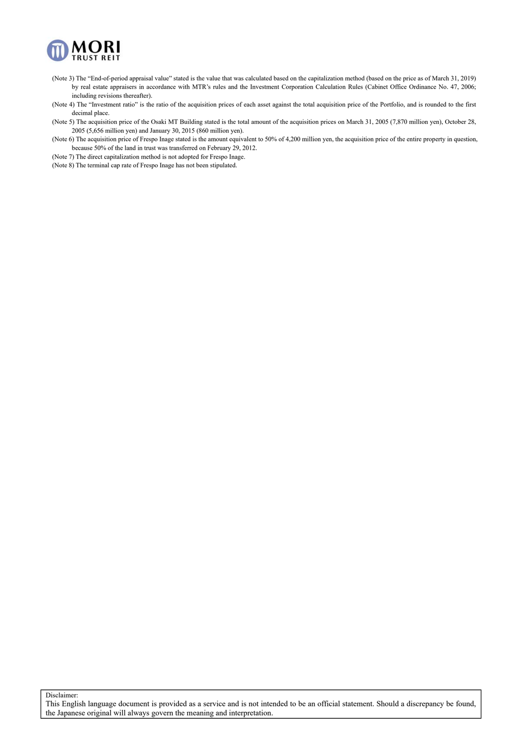

- (Note 3) The "End-of-period appraisal value" stated is the value that was calculated based on the capitalization method (based on the price as of March 31, 2019) by real estate appraisers in accordance with MTR's rules and the Investment Corporation Calculation Rules (Cabinet Office Ordinance No. 47, 2006; including revisions thereafter).
- (Note 4) The "Investment ratio" is the ratio of the acquisition prices of each asset against the total acquisition price of the Portfolio, and is rounded to the first decimal place.
- (Note 5) The acquisition price of the Osaki MT Building stated is the total amount of the acquisition prices on March 31, 2005 (7,870 million yen), October 28, 2005 (5,656 million yen) and January 30, 2015 (860 million yen).
- (Note 6) The acquisition price of Frespo Inage stated is the amount equivalent to 50% of 4,200 million yen, the acquisition price of the entire property in question, because 50% of the land in trust was transferred on February 29, 2012.

(Note 7) The direct capitalization method is not adopted for Frespo Inage.

(Note 8) The terminal cap rate of Frespo Inage has not been stipulated.

Disclaimer:

This English language document is provided as a service and is not intended to be an official statement. Should a discrepancy be found, the Japanese original will always govern the meaning and interpretation.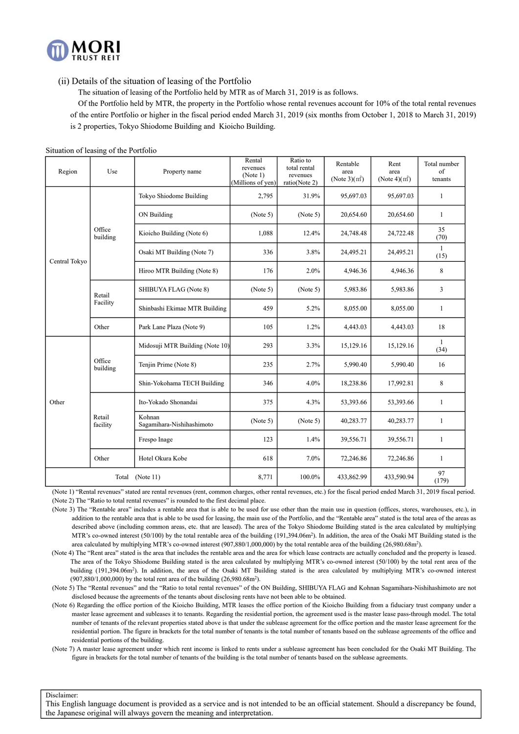

(ii) Details of the situation of leasing of the Portfolio

The situation of leasing of the Portfolio held by MTR as of March 31, 2019 is as follows.

 Of the Portfolio held by MTR, the property in the Portfolio whose rental revenues account for 10% of the total rental revenues of the entire Portfolio or higher in the fiscal period ended March 31, 2019 (six months from October 1, 2018 to March 31, 2019)

is 2 properties, Tokyo Shiodome Building and Kioicho Building.

| Region        | $\frac{1}{2}$ of $\frac{1}{2}$ and $\frac{1}{2}$ and $\frac{1}{2}$ and $\frac{1}{2}$<br>Use | Property name                       | Rental<br>revenues<br>(Note 1)<br>(Millions of yen) | Ratio to<br>total rental<br>revenues<br>ratio(Note 2) | Rentable<br>area<br>(Note 3) $(m2)$ | Rent<br>area<br>(Note $4$ )(m <sup>2</sup> ) | Total number<br>of<br>tenants |
|---------------|---------------------------------------------------------------------------------------------|-------------------------------------|-----------------------------------------------------|-------------------------------------------------------|-------------------------------------|----------------------------------------------|-------------------------------|
|               |                                                                                             | Tokyo Shiodome Building             | 2,795                                               | 31.9%                                                 | 95,697.03                           | 95,697.03                                    | 1                             |
|               |                                                                                             | ON Building                         | (Note 5)                                            | (Note 5)                                              | 20,654.60                           | 20,654.60                                    | $\mathbf{1}$                  |
|               | Office<br>building                                                                          | Kioicho Building (Note 6)           | 1,088                                               | 12.4%                                                 | 24,748.48                           | 24,722.48                                    | 35<br>(70)                    |
| Central Tokyo |                                                                                             | Osaki MT Building (Note 7)          | 336                                                 | 3.8%                                                  | 24,495.21                           | 24,495.21                                    | $\mathbf{1}$<br>(15)          |
|               |                                                                                             | Hiroo MTR Building (Note 8)         | 176                                                 | 2.0%                                                  | 4,946.36                            | 4,946.36                                     | 8                             |
|               | Retail                                                                                      | SHIBUYA FLAG (Note 8)               | (Note 5)                                            | (Note 5)                                              | 5,983.86                            | 5,983.86                                     | 3                             |
|               | Facility                                                                                    | Shinbashi Ekimae MTR Building       | 459                                                 | 5.2%                                                  | 8,055.00                            | 8,055.00                                     | $\mathbf{1}$                  |
|               | Other                                                                                       | Park Lane Plaza (Note 9)            | 105                                                 | 1.2%                                                  | 4,443.03                            | 4,443.03                                     | 18                            |
|               |                                                                                             | Midosuji MTR Building (Note 10)     | 293                                                 | 3.3%                                                  | 15,129.16                           | 15,129.16                                    | $\mathbf{1}$<br>(34)          |
|               | Office<br>building                                                                          | Tenjin Prime (Note 8)               | 235                                                 | 2.7%                                                  | 5,990.40                            | 5,990.40                                     | 16                            |
|               |                                                                                             | Shin-Yokohama TECH Building         | 346                                                 | 4.0%                                                  | 18,238.86                           | 17,992.81                                    | 8                             |
| Other         |                                                                                             | Ito-Yokado Shonandai                | 375                                                 | 4.3%                                                  | 53,393.66                           | 53,393.66                                    | 1                             |
|               | Retail<br>facility                                                                          | Kohnan<br>Sagamihara-Nishihashimoto | (Note 5)                                            | (Note 5)                                              | 40,283.77                           | 40,283.77                                    | 1                             |
|               |                                                                                             | Frespo Inage                        | 123                                                 | 1.4%                                                  | 39,556.71                           | 39,556.71                                    | $\mathbf{1}$                  |
|               | Other                                                                                       | Hotel Okura Kobe                    | 618                                                 | 7.0%                                                  | 72,246.86                           | 72,246.86                                    | $\mathbf{1}$                  |
|               | Total                                                                                       | (Note 11)                           | 8,771                                               | 100.0%                                                | 433,862.99                          | 433,590.94                                   | 97<br>(179)                   |

Situation of leasing of the Portfolio

(Note 1) "Rental revenues" stated are rental revenues (rent, common charges, other rental revenues, etc.) for the fiscal period ended March 31, 2019 fiscal period. (Note 2) The "Ratio to total rental revenues" is rounded to the first decimal place.

(Note 3) The "Rentable area" includes a rentable area that is able to be used for use other than the main use in question (offices, stores, warehouses, etc.), in addition to the rentable area that is able to be used for leasing, the main use of the Portfolio, and the "Rentable area" stated is the total area of the areas as described above (including common areas, etc. that are leased). The area of the Tokyo Shiodome Building stated is the area calculated by multiplying MTR's co-owned interest (50/100) by the total rentable area of the building (191,394.06m2). In addition, the area of the Osaki MT Building stated is the area calculated by multiplying MTR's co-owned interest (907,880/1,000,000) by the total rentable area of the building (26,980.68m2).

(Note 4) The "Rent area" stated is the area that includes the rentable area and the area for which lease contracts are actually concluded and the property is leased. The area of the Tokyo Shiodome Building stated is the area calculated by multiplying MTR's co-owned interest (50/100) by the total rent area of the building (191,394.06m<sup>2</sup>). In addition, the area of the Osaki MT Building stated is the area calculated by multiplying MTR's co-owned interest (907,880/1,000,000) by the total rent area of the building (26,980.68m2).

(Note 5) The "Rental revenues" and the "Ratio to total rental revenues" of the ON Building, SHIBUYA FLAG and Kohnan Sagamihara-Nishihashimoto are not disclosed because the agreements of the tenants about disclosing rents have not been able to be obtained.

(Note 6) Regarding the office portion of the Kioicho Building, MTR leases the office portion of the Kioicho Building from a fiduciary trust company under a master lease agreement and subleases it to tenants. Regarding the residential portion, the agreement used is the master lease pass-through model. The total number of tenants of the relevant properties stated above is that under the sublease agreement for the office portion and the master lease agreement for the residential portion. The figure in brackets for the total number of tenants is the total number of tenants based on the sublease agreements of the office and residential portions of the building.

(Note 7) A master lease agreement under which rent income is linked to rents under a sublease agreement has been concluded for the Osaki MT Building. The figure in brackets for the total number of tenants of the building is the total number of tenants based on the sublease agreements.

Disclaimer: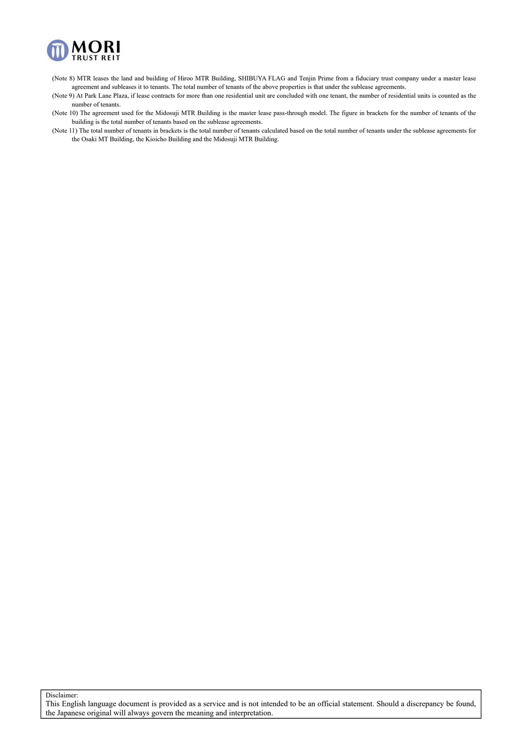

- (Note 8) MTR leases the land and building of Hiroo MTR Building, SHIBUYA FLAG and Tenjin Prime from a fiduciary trust company under a master lease agreement and subleases it to tenants. The total number of tenants of the above properties is that under the sublease agreements.
- (Note 9) At Park Lane Plaza, if lease contracts for more than one residential unit are concluded with one tenant, the number of residential units is counted as the number of tenants.
- (Note 10) The agreement used for the Midosuji MTR Building is the master lease pass-through model. The figure in brackets for the number of tenants of the building is the total number of tenants based on the sublease agreements.
- (Note 11) The total number of tenants in brackets is the total number of tenants calculated based on the total number of tenants under the sublease agreements for the Osaki MT Building, the Kioicho Building and the Midosuji MTR Building.

Disclaimer: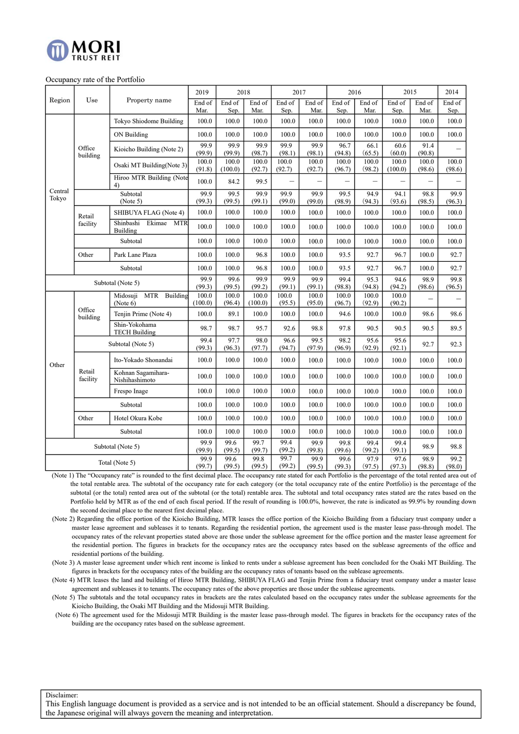

#### Occupancy rate of the Portfolio

|                                               |                      |                                                | 2019             | 2018            |                  | 2017            |                              | 2016            |                 | 2015            |                          | 2014                     |
|-----------------------------------------------|----------------------|------------------------------------------------|------------------|-----------------|------------------|-----------------|------------------------------|-----------------|-----------------|-----------------|--------------------------|--------------------------|
| Region                                        | Use                  | Property name                                  | End of<br>Mar.   | End of<br>Sep.  | End of<br>Mar.   | End of<br>Sep.  | End of<br>Mar.               | End of<br>Sep.  | End of<br>Mar.  | End of<br>Sep.  | End of<br>Mar.           | End of<br>Sep.           |
|                                               |                      | Tokyo Shiodome Building                        | 100.0            | 100.0           | 100.0            | 100.0           | 100.0                        | 100.0           | 100.0           | 100.0           | 100.0                    | 100.0                    |
| Office<br>Central<br>Tokyo<br>Retail<br>Other |                      | ON Building                                    | 100.0            | 100.0           | 100.0            | 100.0           | 100.0                        | 100.0           | 100.0           | 100.0           | 100.0                    | 100.0                    |
|                                               | building             | Kioicho Building (Note 2)                      | 99.9<br>(99.9)   | 99.9<br>(99.9)  | 99.9<br>(98.7)   | 99.9<br>(98.1)  | 99.9<br>(98.1)               | 96.7<br>(94.8)  | 66.1<br>(65.5)  | 60.6<br>(60.0)  | 91.4<br>(90.8)           |                          |
|                                               |                      | Osaki MT Building(Note 3)                      | 100.0            | 100.0           | 100.0            | 100.0           | 100.0                        | 100.0           | 100.0           | 100.0           | 100.0                    | 100.0                    |
|                                               |                      | Hiroo MTR Building (Note<br>4)                 | (91.8)<br>100.0  | (100.0)<br>84.2 | (92.7)<br>99.5   | (92.7)          | (92.7)                       | (96.7)          | (98.2)<br>-     | (100.0)         | (98.6)                   | (98.6)                   |
|                                               | Subtotal<br>(Note 5) |                                                | 99.9<br>(99.3)   | 99.5<br>(99.5)  | 99.9<br>(99.1)   | 99.9<br>(99.0)  | 99.9<br>(99.0)               | 99.5<br>(98.9)  | 94.9<br>(94.3)  | 94.1<br>(93.6)  | 98.8<br>(98.5)           | 99.9<br>(96.3)           |
|                                               |                      | SHIBUYA FLAG (Note 4)                          |                  | 100.0           | 100.0            | 100.0           | 100.0                        | 100.0           | 100.0           | 100.0           | 100.0                    | 100.0                    |
|                                               | facility             | Shinbashi<br>Ekimae<br><b>MTR</b><br>Building  | 100.0            | 100.0           | 100.0            | 100.0           | 100.0                        | 100.0           | 100.0           | 100.0           | 100.0                    | 100.0                    |
|                                               |                      | Subtotal                                       | 100.0            | 100.0           | 100.0            | 100.0           | 100.0                        | 100.0           | 100.0           | 100.0           | 100.0                    | 100.0                    |
|                                               |                      | Park Lane Plaza                                |                  | 100.0           | 96.8             | 100.0           | 100.0                        | 93.5            | 92.7            | 96.7            | 100.0                    | 92.7                     |
| Subtotal                                      |                      | 100.0                                          | 100.0            | 96.8            | 100.0            | 100.0           | 93.5                         | 92.7            | 96.7            | 100.0           | 92.7                     |                          |
| Subtotal (Note 5)                             |                      | 99.9<br>(99.3)                                 | 99.6<br>(99.5)   | 99.9<br>(99.2)  | 99.9<br>(99.1)   | 99.9<br>(99.1)  | 99.4<br>(98.8)               | 95.3<br>(94.8)  | 94.6<br>(94.2)  | 98.9<br>(98.6)  | 99.8<br>(96.5)           |                          |
|                                               |                      | Midosuji<br><b>MTR</b><br>Building<br>(Note 6) | 100.0<br>(100.0) | 100.0<br>(96.4) | 100.0<br>(100.0) | 100.0<br>(95.5) | $\overline{100.0}$<br>(95.0) | 100.0<br>(96.7) | 100.0<br>(92.9) | 100.0<br>(90.2) | $\overline{\phantom{0}}$ | $\overline{\phantom{0}}$ |
|                                               | Office<br>building   | Tenjin Prime (Note 4)                          | 100.0            | 89.1            | 100.0            | 100.0           | 100.0                        | 94.6            | 100.0           | 100.0           | 98.6                     | 98.6                     |
|                                               |                      | Shin-Yokohama<br><b>TECH Building</b>          | 98.7             | 98.7            | 95.7             | 92.6            | 98.8                         | 97.8            | 90.5            | 90.5            | 90.5                     | 89.5                     |
|                                               |                      | Subtotal (Note 5)                              |                  | 97.7<br>(96.3)  | 98.0<br>(97.7)   | 96.6<br>(94.7)  | 99.5<br>(97.9)               | 98.2<br>(96.9)  | 95.6<br>(92.9)  | 95.6<br>(92.1)  | 92.7                     | 92.3                     |
| Other                                         |                      | Ito-Yokado Shonandai                           | 100.0            | 100.0           | 100.0            | 100.0           | 100.0                        | 100.0           | 100.0           | 100.0           | 100.0                    | 100.0                    |
|                                               | Retail<br>facility   | Kohnan Sagamihara-<br>Nishihashimoto           | 100.0            | 100.0           | 100.0            | 100.0           | 100.0                        | 100.0           | 100.0           | 100.0           | 100.0                    | 100.0                    |
|                                               |                      | Frespo Inage                                   | 100.0            | 100.0           | 100.0            | 100.0           | 100.0                        | 100.0           | 100.0           | 100.0           | 100.0                    | 100.0                    |
|                                               |                      | Subtotal                                       | 100.0            | 100.0           | 100.0            | 100.0           | 100.0                        | 100.0           | 100.0           | 100.0           | 100.0                    | 100.0                    |
|                                               | Other                | Hotel Okura Kobe                               | 100.0            | 100.0           | 100.0            | 100.0           | 100.0                        | 100.0           | 100.0           | 100.0           | 100.0                    | 100.0                    |
|                                               |                      | Subtotal                                       | 100.0            | 100.0           | 100.0            | 100.0           | 100.0                        | 100.0           | 100.0           | 100.0           | 100.0                    | 100.0                    |
|                                               |                      | Subtotal (Note 5)                              | 99.9<br>(99.9)   | 99.6<br>(99.5)  | 99.7<br>(99.7)   | 99.4<br>(99.2)  | 99.9<br>(99.8)               | 99.8<br>(99.6)  | 99.4<br>(99.2)  | 99.4<br>(99.1)  | 98.9                     | 98.8                     |
|                                               |                      | Total (Note 5)                                 | 99.9<br>(99.7)   | 99.6<br>(99.5)  | 99.8<br>(99.5)   | 99.7<br>(99.2)  | 99.9<br>(99.5)               | 99.6<br>(99.3)  | 97.9<br>(97.5)  | 97.6<br>(97.3)  | 98.9<br>(98.8)           | 99.2<br>(98.0)           |

(Note 1) The "Occupancy rate" is rounded to the first decimal place. The occupancy rate stated for each Portfolio is the percentage of the total rented area out of the total rentable area. The subtotal of the occupancy rate for each category (or the total occupancy rate of the entire Portfolio) is the percentage of the subtotal (or the total) rented area out of the subtotal (or the total) rentable area. The subtotal and total occupancy rates stated are the rates based on the Portfolio held by MTR as of the end of each fiscal period. If the result of rounding is 100.0%, however, the rate is indicated as 99.9% by rounding down the second decimal place to the nearest first decimal place.

(Note 2) Regarding the office portion of the Kioicho Building, MTR leases the office portion of the Kioicho Building from a fiduciary trust company under a master lease agreement and subleases it to tenants. Regarding the residential portion, the agreement used is the master lease pass-through model. The occupancy rates of the relevant properties stated above are those under the sublease agreement for the office portion and the master lease agreement for the residential portion. The figures in brackets for the occupancy rates are the occupancy rates based on the sublease agreements of the office and residential portions of the building.

(Note 3) A master lease agreement under which rent income is linked to rents under a sublease agreement has been concluded for the Osaki MT Building. The figures in brackets for the occupancy rates of the building are the occupancy rates of tenants based on the sublease agreements.

(Note 4) MTR leases the land and building of Hiroo MTR Building, SHIBUYA FLAG and Tenjin Prime from a fiduciary trust company under a master lease agreement and subleases it to tenants. The occupancy rates of the above properties are those under the sublease agreements.

(Note 5) The subtotals and the total occupancy rates in brackets are the rates calculated based on the occupancy rates under the sublease agreements for the Kioicho Building, the Osaki MT Building and the Midosuji MTR Building.

 (Note 6) The agreement used for the Midosuji MTR Building is the master lease pass-through model. The figures in brackets for the occupancy rates of the building are the occupancy rates based on the sublease agreement.

Disclaimer: